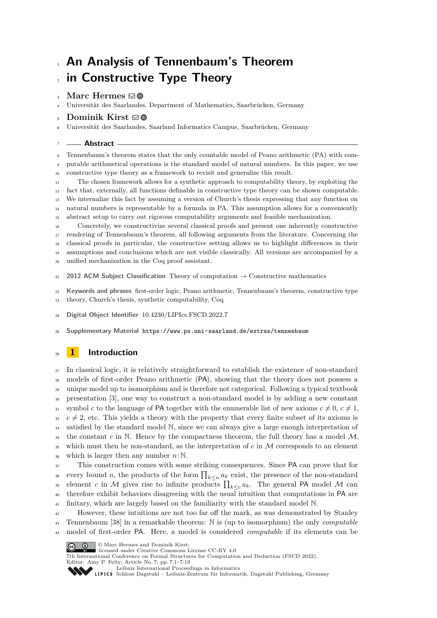# **An Analysis of Tennenbaum's Theorem in Constructive Type Theory**

## **Marc Hermes**  $\boxdot$  **.**

Universität des Saarlandes, Department of Mathematics, Saarbrücken, Germany

## **Dominik Kirst** ⊠<sup>®</sup>

Universität des Saarlandes, Saarland Informatics Campus, Saarbrücken, Germany

#### **Abstract**

 Tennenbaum's theorem states that the only countable model of Peano arithmetic (PA) with com-putable arithmetical operations is the standard model of natural numbers. In this paper, we use

constructive type theory as a framework to revisit and generalize this result.

 The chosen framework allows for a synthetic approach to computability theory, by exploiting the fact that, externally, all functions definable in constructive type theory can be shown computable. We internalize this fact by assuming a version of Church's thesis expressing that any function on natural numbers is representable by a formula in PA. This assumption allows for a conveniently abstract setup to carry out rigorous computability arguments and feasible mechanization.

 Concretely, we constructivize several classical proofs and present one inherently constructive rendering of Tennenbaum's theorem, all following arguments from the literature. Concerning the classical proofs in particular, the constructive setting allows us to highlight differences in their assumptions and conclusions which are not visible classically. All versions are accompanied by a unified mechanization in the Coq proof assistant.

21 **2012 ACM Subject Classification** Theory of computation  $\rightarrow$  Constructive mathematics

**Keywords and phrases** first-order logic, Peano arithmetic, Tennenbaum's theorem, constructive type

- theory, Church's thesis, synthetic computability, Coq
- **Digital Object Identifier** [10.4230/LIPIcs.FSCD.2022.7](https://doi.org/10.4230/LIPIcs.FSCD.2022.7)
- **Supplementary Material** <https://www.ps.uni-saarland.de/extras/tennenbaum>

## <span id="page-0-0"></span>**1 Introduction**

 In classical logic, it is relatively straightforward to establish the existence of non-standard models of first-order Peano arithmetic (PA), showing that the theory does not possess a unique model up to isomorphism and is therefore not categorical. Following a typical textbook presentation [\[3\]](#page-16-0), one way to construct a non-standard model is by adding a new constant 31 symbol *c* to the language of PA together with the enumerable list of new axioms  $c \neq 0, c \neq 1$ ,  $c \neq 2$ , etc. This yields a theory with the property that every finite subset of its axioms is satisfied by the standard model N, since we can always give a large enough interpretation of  $\frac{34}{14}$  the constant *c* in N. Hence by the compactness theorem, the full theory has a model M, which must then be non-standard, as the interpretation of *c* in M corresponds to an element  $\frac{36}{100}$  which is larger then any number  $n:\mathbb{N}$ .

 This construction comes with some striking consequences. Since PA can prove that for every bound *n*, the products of the form  $\prod_{k \leq n} a_k$  exist, the presence of the non-standard element *c* in M gives rise to infinite products  $\prod_{k\leq c} a_k$ . The general PA model M can <sup>40</sup> therefore exhibit behaviors disagreeing with the usual intuition that computations in PA are finitary, which are largely based on the familiarity with the standard model N.

 However, these intuitions are not too far off the mark, as was demonstrated by Stanley Tennenbaum [\[38\]](#page-17-0) in a remarkable theorem: N is (up to isomorphism) the only *computable* model of first-order PA. Here, a model is considered *computable* if its elements can be

© Marc Hermes and Dominik Kirst;  $\boxed{6}$  0

licensed under Creative Commons License CC-BY 4.0

7th International Conference on Formal Structures for Computation and Deduction (FSCD 2022). Editor: Amy P. Felty; Article No. 7; pp. 7:1–7:19

[Schloss Dagstuhl – Leibniz-Zentrum für Informatik, Dagstuhl Publishing, Germany](https://www.dagstuhl.de)

[Leibniz International Proceedings in Informatics](https://www.dagstuhl.de/lipics/)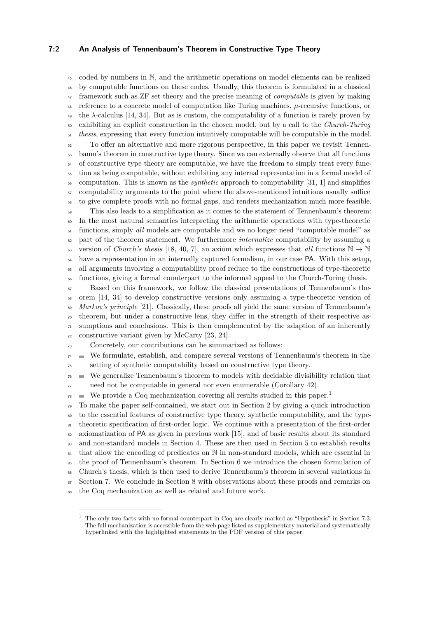#### **7:2 An Analysis of Tennenbaum's Theorem in Constructive Type Theory**

 coded by numbers in N, and the arithmetic operations on model elements can be realized by computable functions on these codes. Usually, this theorem is formulated in a classical framework such as ZF set theory and the precise meaning of *computable* is given by making reference to a concrete model of computation like Turing machines, *µ*-recursive functions, or the *λ*-calculus [\[14,](#page-16-1) [34\]](#page-17-1). But as is custom, the computability of a function is rarely proven by exhibiting an explicit construction in the chosen model, but by a call to the *Church-Turing thesis*, expressing that every function intuitively computable will be computable in the model. To offer an alternative and more rigorous perspective, in this paper we revisit Tennen-

 baum's theorem in constructive type theory. Since we can externally observe that all functions <sup>54</sup> of constructive type theory are computable, we have the freedom to simply treat every func- tion as being computable, without exhibiting any internal representation in a formal model of computation. This is known as the *synthetic* approach to computability [\[31,](#page-17-2) [1\]](#page-16-2) and simplifies <sub>57</sub> computability arguments to the point where the above-mentioned intuitions usually suffice to give complete proofs with no formal gaps, and renders mechanization much more feasible.

 This also leads to a simplification as it comes to the statement of Tennenbaum's theorem: In the most natural semantics interpreting the arithmetic operations with type-theoretic functions, simply *all* models are computable and we no longer need "computable model" as part of the theorem statement. We furthermore *internalize* computability by assuming a 63 version of *Church's thesis* [\[18,](#page-17-3) [40,](#page-17-4) [7\]](#page-16-3), an axiom which expresses that *all* functions  $\mathbb{N} \to \mathbb{N}$  have a representation in an internally captured formalism, in our case PA. With this setup, all arguments involving a computability proof reduce to the constructions of type-theoretic functions, giving a formal counterpart to the informal appeal to the Church-Turing thesis.

 Based on this framework, we follow the classical presentations of Tennenbaum's the- orem [\[14,](#page-16-1) [34\]](#page-17-1) to develop constructive versions only assuming a type-theoretic version of *Markov's principle* [\[21\]](#page-17-5). Classically, these proofs all yield the same version of Tennenbaum's  $\tau$ <sup>0</sup> theorem, but under a constructive lens, they differ in the strength of their respective as- sumptions and conclusions. This is then complemented by the adaption of an inherently constructive variant given by McCarty [\[23,](#page-17-6) [24\]](#page-17-7).

Concretely, our contributions can be summarized as follows:

 $74 \equiv$  We formulate, establish, and compare several versions of Tennenbaum's theorem in the setting of synthetic computability based on constructive type theory.

 We generalize Tennenbaum's theorem to models with decidable divisibility relation that need not be computable in general nor even enumerable (Corollary [42\)](#page-11-0).

We provide a Coq mechanization covering all results studied in this paper.<sup>[1](#page-1-0)</sup>  $\blacksquare$ 

 To make the paper self-contained, we start out in Section [2](#page-2-0) by giving a quick introduction to the essential features of constructive type theory, synthetic computability, and the type- theoretic specification of first-order logic. We continue with a presentation of the first-order 82 axiomatization of PA as given in previous work [\[15\]](#page-16-4), and of basic results about its standard 83 and non-standard models in Section [4.](#page-5-0) These are then used in Section [5](#page-7-0) to establish results <sup>84</sup> that allow the encoding of predicates on N in non-standard models, which are essential in the proof of Tennenbaum's theorem. In Section [6](#page-8-0) we introduce the chosen formulation of Church's thesis, which is then used to derive Tennenbaum's theorem in several variations in <sup>87</sup> Section [7.](#page-9-0) We conclude in Section [8](#page-13-0) with observations about these proofs and remarks on

the Coq mechanization as well as related and future work.

<span id="page-1-0"></span> The only two facts with no formal counterpart in Coq are clearly marked as "Hypothesis" in Section [7.3.](#page-12-0) The full mechanization is accessible from the web page listed as supplementary material and systematically hyperlinked with the highlighted statements in the PDF version of this paper.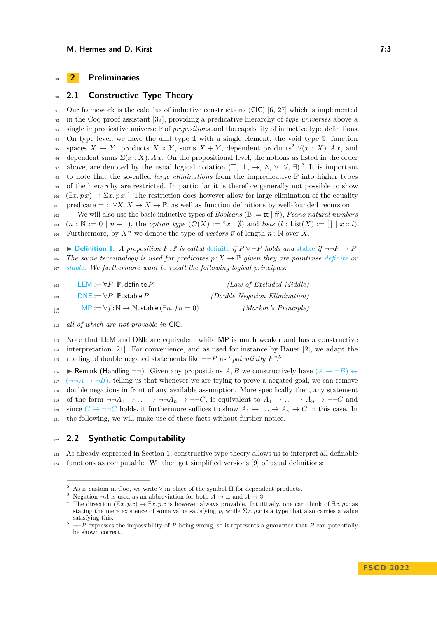## <span id="page-2-0"></span><sup>89</sup> **2 Preliminaries**

## <sup>90</sup> **2.1 Constructive Type Theory**

<sup>91</sup> Our framework is the calculus of inductive constructions (CIC) [\[6,](#page-16-5) [27\]](#page-17-8) which is implemented <sup>92</sup> in the Coq proof assistant [\[37\]](#page-17-9), providing a predicative hierarchy of *type universes* above a <sup>93</sup> single impredicative universe P of *propositions* and the capability of inductive type definitions. <sup>94</sup> On type level, we have the unit type **1** with a single element, the void type **0**, function  $\mathcal{S}_5$  spaces  $X \to Y$ , products  $X \times Y$ , sums  $X + Y$ , dependent products<sup>[2](#page-2-1)</sup>  $\forall (x : X)$ *. A x*, and  $\sum_{i=1}^{\infty}$  dependent sums  $\Sigma(x: X)$ *. Ax.* On the propositional level, the notions as listed in the order <sup>97</sup> above, are denoted by the usual logical notation  $(T, \perp, \rightarrow, \wedge, \vee, \forall, \exists)$ .<sup>[3](#page-2-2)</sup> It is important <sup>98</sup> to note that the so-called *large eliminations* from the impredicative P into higher types <sup>99</sup> of the hierarchy are restricted. In particular it is therefore generally not possible to show <sup>100</sup>  $(\exists x. p x) \rightarrow \Sigma x. p x.^4$  $(\exists x. p x) \rightarrow \Sigma x. p x.^4$  The restriction does however allow for large elimination of the equality 101 predicate = :  $\forall X \cdot X \to X \to \mathbb{P}$ , as well as function definitions by well-founded recursion.

<sup>102</sup> We will also use the basic inductive types of *Booleans* (B := tt | ff), *Peano natural numbers*  $_{103}$   $(n : \mathbb{N} := 0 | n + 1)$ , the *option type*  $(\mathcal{O}(X) := \{ x \mid \emptyset \}$  and *lists*  $(l : List(X) := [] | x :: l)$ . Furthermore, by  $X^n$  we denote the type of *vectors*  $\vec{v}$  of length  $n : \mathbb{N}$  over  $X$ .

<span id="page-2-5"></span>**■ [Definition 1](https://www.ps.uni-saarland.de/extras/tennenbaum/Tennenbaum_paper/Tennenbaum.Synthetic.html)**. *A proposition*  $P: \mathbb{P}$  *is called [definite](https://www.ps.uni-saarland.de/extras/tennenbaum/Tennenbaum_paper/Tennenbaum.Synthetic.html#definite) if*  $P \lor \neg P$  *holds and* [stable](https://www.ps.uni-saarland.de/extras/tennenbaum/Tennenbaum_paper/Tennenbaum.Synthetic.html#stable) *if*  $\neg \neg P \rightarrow P$ *.* 106 *The same terminology is used for predicates*  $p: X \to \mathbb{P}$  *given they are pointwise [definite](https://www.ps.uni-saarland.de/extras/tennenbaum/Tennenbaum_paper/Tennenbaum.Synthetic.html#Definite) or* <sup>107</sup> *[stable.](https://www.ps.uni-saarland.de/extras/tennenbaum/Tennenbaum_paper/Tennenbaum.Synthetic.html#Stable) We furthermore want to recall the following logical principles:*

| 108         | $\mathsf{LEM} := \forall P \colon \mathbb{P}$ . definite $P$                 | (Law of Excluded Middle)             |
|-------------|------------------------------------------------------------------------------|--------------------------------------|
| 109         | $DNE := \forall P \colon \mathbb{P}$ . stable $P$                            | <i>(Double Negation Elimination)</i> |
| $110 + 111$ | $MP := \forall f : \mathbb{N} \to \mathbb{N}$ . stable $(\exists n. fm = 0)$ | (Markov's Principle)                 |

<sup>112</sup> *all of which are not provable in* CIC*.*

<sup>113</sup> Note that LEM and DNE are equivalent while MP is much weaker and has a constructive  $_{114}$  interpretation [\[21\]](#page-17-5). For convenience, and as used for instance by Bauer [\[2\]](#page-16-6), we adapt the reading of double negated statements like  $\neg\neg P$  as "*potentially*  $P$ ".<sup>[5](#page-2-4)</sup> 115

116 **Example 116** Handling  $\neg$ , Given any propositions A, B we constructively have  $(A \rightarrow \neg B) \leftrightarrow$  $117 \left( \neg\neg A \rightarrow \neg B \right)$ , telling us that whenever we are trying to prove a negated goal, we can remove <sup>118</sup> double negations in front of any available assumption. More specifically then, any statement 119 of the form  $\neg\neg A_1 \rightarrow \ldots \rightarrow \neg \neg A_n \rightarrow \neg \neg C$ , is equivalent to  $A_1 \rightarrow \ldots \rightarrow A_n \rightarrow \neg \neg C$  and 120 since  $C \to \neg\neg C$  holds, it furthermore suffices to show  $A_1 \to \ldots \to A_n \to C$  in this case. In <sup>121</sup> the following, we will make use of these facts without further notice.

## <sup>122</sup> **2.2 Synthetic Computability**

<sup>123</sup> As already expressed in Section [1,](#page-0-0) constructive type theory allows us to interpret all definable  $124$  functions as computable. We then get simplified versions [\[9\]](#page-16-7) of usual definitions:

<span id="page-2-1"></span><sup>&</sup>lt;sup>2</sup> As is custom in Coq, we write  $\forall$  in place of the symbol  $\Pi$  for dependent products.

<span id="page-2-2"></span><sup>&</sup>lt;sup>3</sup> Negation  $\neg A$  is used as an abbreviation for both  $A \to \bot$  and  $A \to \mathbb{0}$ .

<span id="page-2-3"></span>The direction  $(\Sigma x. p x) \to \exists x. p x$  is however always provable. Intuitively, one can think of  $\exists x. p x$  as stating the mere existence of some value satisfying *p*, while  $\Sigma x$ . *px* is a type that also carries a value satisfying this.

<span id="page-2-4"></span> $\overline{5}$   $\neg$ *-P* expresses the impossibility of *P* being wrong, so it represents a guarantee that *P* can potentially be shown correct.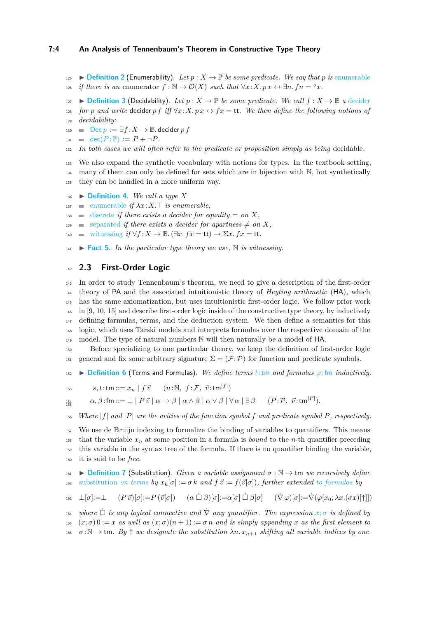125 **[Definition 2](https://www.ps.uni-saarland.de/extras/tennenbaum/Tennenbaum_paper/Tennenbaum.Synthetic.html#enumerable)** (Enumerability). Let  $p : X \to \mathbb{P}$  be some predicate. We say that p is [enumerable](https://www.ps.uni-saarland.de/extras/tennenbaum/Tennenbaum_paper/Tennenbaum.Synthetic.html#enumerable)

*i*<sub>26</sub> *if there is an* enumerator  $f : \mathbb{N} \to \mathcal{O}(X)$  *such that*  $\forall x: X. p x \leftrightarrow \exists n. f n = \infty x$ .

127 **[Definition 3](https://www.ps.uni-saarland.de/extras/tennenbaum/Tennenbaum_paper/Tennenbaum.Synthetic.html#decider)** (Decidability). Let  $p : X \to \mathbb{P}$  be some predicate. We call  $f : X \to \mathbb{B}$  a [decider](https://www.ps.uni-saarland.de/extras/tennenbaum/Tennenbaum_paper/Tennenbaum.Synthetic.html#decider) 128 *for p* and write decider *p f* iff  $\forall x$ :  $X$ .  $p x \leftrightarrow fx = \text{tt}$ . We then define the following notions of <sup>129</sup> *decidability:*

130  $\Box$  [Dec](https://www.ps.uni-saarland.de/extras/tennenbaum/Tennenbaum_paper/Tennenbaum.Synthetic.html#Dec)  $p := \exists f : X \rightarrow \mathbb{B}$ . decider p f

- 131 **[dec](https://www.ps.uni-saarland.de/extras/tennenbaum/Tennenbaum_paper/Tennenbaum.Synthetic.html#dec)**( $P : \mathbb{P}$ ) :=  $P + \neg P$ *.*
- <sup>132</sup> *In both cases we will often refer to the predicate or proposition simply as being* decidable*.*

<sup>133</sup> We also expand the synthetic vocabulary with notions for types. In the textbook setting, <sup>134</sup> many of them can only be defined for sets which are in bijection with N, but synthetically <sup>135</sup> they can be handled in a more uniform way.

- <span id="page-3-1"></span>136  $\triangleright$  **[Definition 4](https://www.ps.uni-saarland.de/extras/tennenbaum/Tennenbaum_paper/Tennenbaum.Synthetic.html)**. We call a type X
- $\blacksquare$  [enumerable](https://www.ps.uni-saarland.de/extras/tennenbaum/Tennenbaum_paper/Tennenbaum.Synthetic.html#Enumerable) *if*  $\lambda x : X \to Y$  *is enumerable,*
- $138$  [discrete](https://www.ps.uni-saarland.de/extras/tennenbaum/Tennenbaum_paper/Tennenbaum.Synthetic.html#Discrete) *if there exists a decider for equality* = *on X,*
- 139 [separated](https://www.ps.uni-saarland.de/extras/tennenbaum/Tennenbaum_paper/Tennenbaum.Synthetic.html#Separated) *if there exists a decider for apartness*  $\neq$  *on*  $X$ *,*
- <span id="page-3-0"></span>140 [witnessing](https://www.ps.uni-saarland.de/extras/tennenbaum/Tennenbaum_paper/Tennenbaum.Synthetic.html#Witnessing)  $if \forall f : X \to \mathbb{B}$ .  $(\exists x. f x = \mathsf{tt}) \to \Sigma x$ .  $fx = \mathsf{tt}$ .

 $\mathbf{1}_{41}$   $\triangleright$  **[Fact 5](https://www.ps.uni-saarland.de/extras/tennenbaum/Tennenbaum_paper/Tennenbaum.Synthetic.html#Witnessing_nat)**. *In the particular type theory we use*, N *is witnessing.* 

#### <sup>142</sup> **2.3 First-Order Logic**

 In order to study Tennenbaum's theorem, we need to give a description of the first-order theory of PA and the associated intuitionistic theory of *Heyting arithmetic* (HA), which has the same axiomatization, but uses intuitionistic first-order logic. We follow prior work in [\[9,](#page-16-7) [10,](#page-16-8) [15\]](#page-16-4) and describe first-order logic inside of the constructive type theory, by inductively defining formulas, terms, and the deduction system. We then define a semantics for this logic, which uses Tarski models and interprets formulas over the respective domain of the  $_{149}$  model. The type of natural numbers N will then naturally be a model of HA.

<sup>150</sup> Before specializing to one particular theory, we keep the definition of first-order logic 151 general and fix some arbitrary signature  $\Sigma = (\mathcal{F}; \mathcal{P})$  for function and predicate symbols.

 $\text{152}$   $\triangleright$  **[Definition 6](https://www.ps.uni-saarland.de/extras/tennenbaum/Tennenbaum_paper/Tennenbaum.FOL.html#term)** (Terms and Formulas). *We define terms t*:[tm](https://www.ps.uni-saarland.de/extras/tennenbaum/Tennenbaum_paper/Tennenbaum.FOL.html#term) *and formulas*  $\varphi$ :[fm](https://www.ps.uni-saarland.de/extras/tennenbaum/Tennenbaum_paper/Tennenbaum.FOL.html#form) *inductively*.

 $s, t : \mathsf{tm} ::= x_n \mid f \ \vec{v} \quad (n : \mathbb{N}, \ f \colon \mathcal{F}, \ \vec{v} : \mathsf{tm}^{|f|})$ 

 $154$ <br> $155$ 

 $q_{\frac{54}{2}}$  a,  $\beta$  : fm  $::=\bot \mid P \ \vec{v} \mid \alpha \to \beta \mid \alpha \wedge \beta \mid \alpha \vee \beta \mid \forall \, \alpha \mid \exists \, \beta \quad (P \colon \mathcal{P}, \ \vec{v} \text{:tm}^{|P|}).$ 

<sup>156</sup> *Where* |*f*| *and* |*P*| *are the arities of the function symbol f and predicate symbol P, respectively.*

 We use de Bruijn indexing to formalize the binding of variables to quantifiers. This means <sup>158</sup> that the variable  $x_n$  at some position in a formula is *bound* to the *n*-th quantifier preceding this variable in the syntax tree of the formula. If there is no quantifier binding the variable, it is said to be *free*.

161 **[Definition 7](https://www.ps.uni-saarland.de/extras/tennenbaum/Tennenbaum_paper/Tennenbaum.FOL.html#subst_form)** (Substitution). *Given a variable assignment*  $\sigma : \mathbb{N} \to \mathsf{tm}$  *we recursively define* 162 [substitution](https://www.ps.uni-saarland.de/extras/tennenbaum/Tennenbaum_paper/Tennenbaum.FOL.html#subst_term) *on terms by*  $x_k[\sigma] := \sigma k$  *and*  $f \vec{v} := f(\vec{v}[\sigma])$ *, further extended [to formulas](https://www.ps.uni-saarland.de/extras/tennenbaum/Tennenbaum_paper/Tennenbaum.FOL.html#subst_form) by* 

$$
\text{163 } \quad \bot[\sigma]:=\bot \qquad (P\ \vec{v})[\sigma]:=P\ (\vec{v}[\sigma]) \qquad (\alpha\ \dot\Box\ \beta)[\sigma]:=\alpha[\sigma]\ \dot\Box\ \beta[\sigma] \qquad (\vec{\nabla}\ \varphi)[\sigma]:=\vec{\nabla}(\varphi[x_0;\lambda x.(\sigma x)[\uparrow]])
$$

 $\alpha_{164}$  *where*  $\Box$  $\Box$  *is any logical connective and*  $\dot{\nabla}$  *any quantifier. The expression*  $x; \sigma$  *is defined by* 165  $(x; \sigma)$  0 := *x* as well as  $(x; \sigma)(n+1)$  :=  $\sigma n$  and is simply appending *x* as the first element to 166  $\sigma : \mathbb{N} \to \mathsf{tm}$ . By  $\uparrow$  we designate the substitution  $\lambda n$ .  $x_{n+1}$  shifting all variable indices by one.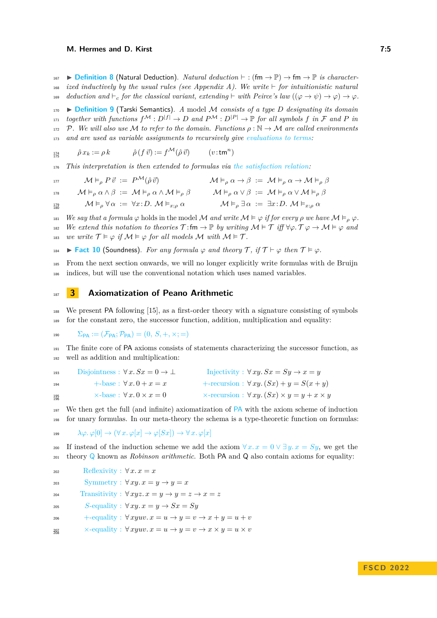167 **[Definition 8](https://www.ps.uni-saarland.de/extras/tennenbaum/Tennenbaum_paper/Tennenbaum.Deduction.html#prv)** (Natural Deduction). *Natural deduction*  $\vdash$  : (fm  $\rightarrow \mathbb{P}$ )  $\rightarrow$  fm  $\rightarrow \mathbb{P}$  *is character-* $\mu$ <sup>168</sup> *ized inductively by the usual rules (see Appendix [A\)](#page-18-0). We write*  $\vdash$  *for intuitionistic natural* 169 *deduction and*  $\vdash_c$  *for the classical variant, extending*  $\vdash$  *with Peirce's law*  $((\varphi \rightarrow \psi) \rightarrow \varphi) \rightarrow \varphi$ .

<span id="page-4-1"></span><sup>170</sup> I **[Definition 9](https://www.ps.uni-saarland.de/extras/tennenbaum/Tennenbaum_paper/Tennenbaum.Tarski.html#sat)** (Tarski Semantics). *A* model M *consists of a type D designating its domain*  $F^{171}$  *together with functions*  $f^{\mathcal{M}} : D^{|f|} \to D$  *and*  $P^{\mathcal{M}} : D^{|P|} \to \mathbb{P}$  *for all symbols*  $f$  *in*  $\mathcal F$  *and*  $P$  *in* 172 P. We will also use M to refer to the domain. Functions  $\rho : \mathbb{N} \to \mathcal{M}$  are called environments <sup>173</sup> *and are used as variable assignments to recursively give [evaluations to terms:](https://www.ps.uni-saarland.de/extras/tennenbaum/Tennenbaum_paper/Tennenbaum.Tarski.html#eval)*

$$
\mathbf{1}_{\mathcal{I}_5^4}^{\mathcal{I}_4} \qquad \hat{\rho} x_k := \rho k \qquad \hat{\rho} (f \, \vec{v}) := f^{\mathcal{M}}(\hat{\rho} \, \vec{v}) \qquad (v \, \texttt{:tm}^n)
$$

<sup>176</sup> *This interpretation is then extended to formulas via [the satisfaction relation:](https://www.ps.uni-saarland.de/extras/tennenbaum/Tennenbaum_paper/Tennenbaum.Tarski.html#sat)*

$$
\begin{array}{llll}\n\mathbf{M} \vDash_{\rho} P \vec{v} & \vcentcolon= P^{\mathcal{M}}(\hat{\rho} \vec{v}) & \mathcal{M} \vDash_{\rho} \alpha \to \beta & \vcentcolon= \mathcal{M} \vDash_{\rho} \alpha \to \mathcal{M} \vDash_{\rho} \beta \\
\mathbf{M} \vDash_{\rho} \alpha \land \beta & \vcentcolon= \mathcal{M} \vDash_{\rho} \alpha \land \mathcal{M} \vDash_{\rho} \beta & \mathcal{M} \vDash_{\rho} \alpha \lor \beta & \vcentcolon= \mathcal{M} \vDash_{\rho} \alpha \lor \mathcal{M} \vDash_{\rho} \beta \\
M \vDash_{\rho} \forall \alpha & \vcentcolon= \forall x \colon D. \ \mathcal{M} \vDash_{x; \rho} \alpha & \mathcal{M} \vDash_{\rho} \exists \alpha & \vcentcolon= \exists x \colon D. \ \mathcal{M} \vDash_{x; \rho} \alpha\n\end{array}
$$

181 *We say that a formula*  $\varphi$  holds in the model M *and write*  $\mathcal{M} \models \varphi$  *if for every*  $\rho$  *we have*  $\mathcal{M} \models_{\rho} \varphi$ . 182 *We extend this notation to theories*  $\mathcal{T} : \text{fm} \to \mathbb{P}$  *by writing*  $\mathcal{M} \models \mathcal{T}$  *iff*  $\forall \varphi$ .  $\mathcal{T} \varphi \to \mathcal{M} \models \varphi$  and 183 *we write*  $\mathcal{T} \models \varphi$  *if*  $\mathcal{M} \models \varphi$  *for all models*  $\mathcal{M}$  *with*  $\mathcal{M} \models \mathcal{T}$ *.* 

184  $\triangleright$  **[Fact 10](https://www.ps.uni-saarland.de/extras/tennenbaum/Tennenbaum_paper/Tennenbaum.Deduction.html#tsoundness)** (Soundness). For any formula  $\varphi$  and theory T, if  $T \vdash \varphi$  then  $T \models \varphi$ .

<sup>185</sup> From the next section onwards, we will no longer explicitly write formulas with de Bruijn <sup>186</sup> indices, but will use the conventional notation which uses named variables.

## <span id="page-4-0"></span><sup>187</sup> **3 Axiomatization of Peano Arithmetic**

<sup>188</sup> We present PA following [\[15\]](#page-16-4), as a first-order theory with a signature consisting of symbols <sup>189</sup> for the constant zero, the successor function, addition, multiplication and equality:

190  $\Sigma_{\text{PA}} := (\mathcal{F}_{\text{PA}}; \mathcal{P}_{\text{PA}}) = (0, S, +, \times; =)$  $\Sigma_{\text{PA}} := (\mathcal{F}_{\text{PA}}; \mathcal{P}_{\text{PA}}) = (0, S, +, \times; =)$  $\Sigma_{\text{PA}} := (\mathcal{F}_{\text{PA}}; \mathcal{P}_{\text{PA}}) = (0, S, +, \times; =)$ 

<sup>191</sup> The finite core of PA axioms consists of statements characterizing the successor function, as <sup>192</sup> well as addition and multiplication:

| 193               | Disjointness : $\forall x. Sx = 0 \rightarrow \bot$ | Injectivity : $\forall xy. Sx = Sy \rightarrow x = y$              |
|-------------------|-----------------------------------------------------|--------------------------------------------------------------------|
| 194               | $+\text{-base}: \forall x. 0 + x = x$               | +-recursion : $\forall xy. (Sx) + y = S(x + y)$                    |
| $\frac{195}{196}$ | $\times$ -base: $\forall x. 0 \times x = 0$         | $\times$ -recursion : $\forall xy. (Sx) \times y = y + x \times y$ |

<sup>197</sup> We then get the full (and infinite) axiomatization of [PA](https://www.ps.uni-saarland.de/extras/tennenbaum/Tennenbaum_paper/Tennenbaum.Peano.html#PA) with the axiom scheme of induction <sup>198</sup> for unary formulas. In our meta-theory the schema is a type-theoretic function on formulas:

199  $\lambda \varphi \cdot \varphi[0] \to (\forall x \cdot \varphi[x] \to \varphi[Sx]) \to \forall x \cdot \varphi[x]$ 

200 If instead of the induction scheme we add the axiom  $\forall x \cdot x = 0 \lor \exists y \cdot x = Sy$  $\forall x \cdot x = 0 \lor \exists y \cdot x = Sy$  $\forall x \cdot x = 0 \lor \exists y \cdot x = Sy$ , we get the <sup>201</sup> theory [Q](https://www.ps.uni-saarland.de/extras/tennenbaum/Tennenbaum_paper/Tennenbaum.Peano.html#Q) known as *Robinson arithmetic*. Both PA and Q also contain axioms for equality:

- 202 [Reflexivity :](https://www.ps.uni-saarland.de/extras/tennenbaum/Tennenbaum_paper/Tennenbaum.Peano.html#ax_refl)  $\forall x. x = x$
- 203 [Symmetry :](https://www.ps.uni-saarland.de/extras/tennenbaum/Tennenbaum_paper/Tennenbaum.Peano.html#ax_sym)  $\forall xy. x = y \rightarrow y = x$

 $\text{Transitivity}: \forall xyz. \ x = y \rightarrow y = z \rightarrow x = z$ 

205 *S*[-equality :](https://www.ps.uni-saarland.de/extras/tennenbaum/Tennenbaum_paper/Tennenbaum.Peano.html#ax_succ_congr)  $\forall xy \cdot x = y \rightarrow Sx = Sy$ 

- 206 [+-equality :](https://www.ps.uni-saarland.de/extras/tennenbaum/Tennenbaum_paper/Tennenbaum.Peano.html#ax_add_congr)  $\forall xyuv \ldotp x = u \rightarrow y = v \rightarrow x + y = u + v$
- $\times$ [-equality :](https://www.ps.uni-saarland.de/extras/tennenbaum/Tennenbaum_paper/Tennenbaum.Peano.html#ax_mult_congr)  $\forall x y u v. x = u \rightarrow y = v \rightarrow x \times y = u \times v$  $207$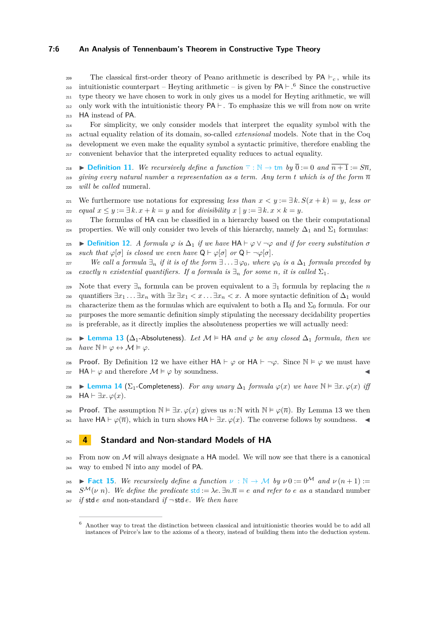#### **7:6 An Analysis of Tennenbaum's Theorem in Constructive Type Theory**

<sup>209</sup> The classical first-order theory of Peano arithmetic is described by  $PA \vdash c$ , while its 210 intuitionistic counterpart – Heyting arithmetic – is given by  $PA \vdash .6$  $PA \vdash .6$  Since the constructive <sup>211</sup> type theory we have chosen to work in only gives us a model for Heyting arithmetic, we will 212 only work with the intuitionistic theory  $PA \vdash$ . To emphasize this we will from now on write <sup>213</sup> HA instead of PA.

 For simplicity, we only consider models that interpret the equality symbol with the actual equality relation of its domain, so-called *extensional* models. Note that in the Coq development we even make the equality symbol a syntactic primitive, therefore enabling the convenient behavior that the interpreted equality reduces to actual equality.

218 **[Definition 11](https://www.ps.uni-saarland.de/extras/tennenbaum/Tennenbaum_paper/Tennenbaum.Peano.html#num)**. We recursively define a function  $\overline{\cdot}$  : N  $\rightarrow$  [tm](https://www.ps.uni-saarland.de/extras/tennenbaum/Tennenbaum_paper/Tennenbaum.Peano.html#num) by  $\overline{0}$  := 0 and  $\overline{n+1}$  :=  $S\overline{n}$ , *giving every natural number a representation as a term. Any term t which is of the form*  $\overline{n}$ <sup>220</sup> *will be called* numeral*.*

221 We furthermore use notations for expressing *less than*  $x < y := \exists k. S(x + k) = y$ , *less or*  $z_{22}$  *equal*  $x \leq y := \exists k \cdot x + k = y$  and for *divisibility*  $x \mid y := \exists k \cdot x \times k = y$ .

<sup>223</sup> The formulas of HA can be classified in a hierarchy based on the their computational 224 properties. We will only consider two levels of this hierarchy, namely  $\Delta_1$  and  $\Sigma_1$  formulas:

<span id="page-5-2"></span>225 **i [Definition 12](https://www.ps.uni-saarland.de/extras/tennenbaum/Tennenbaum_paper/Tennenbaum.Formulas.html#Delta1)**. *A formula*  $\varphi$  *is*  $\Delta_1$  *if we have*  $HA \vdash \varphi \lor \neg \varphi$  *and if for every substitution*  $\sigma$  $z_{26}$  *such that*  $\varphi[\sigma]$  *is closed we even have*  $Q \vdash \varphi[\sigma]$  *or*  $Q \vdash \neg \varphi[\sigma]$ *.* 

*x*<sup>227</sup> *We call a formula*  $\exists_n$  *if it is of the form*  $\exists \ldots \exists \varphi_0$ *, where*  $\varphi_0$  *is a*  $\Delta_1$  *formula preceded by* 228 *exactly n existential quantifiers. If a formula is*  $\exists$ <sub>*n</sub> for some n, it is called*  $\Sigma$ <sub>1</sub>.</sub>

229 Note that every  $\exists_n$  formula can be proven equivalent to a  $\exists_1$  formula by replacing the *n* 230 quantifiers  $\exists x_1 \ldots \exists x_n$  with  $\exists x \exists x_1 < x \ldots \exists x_n < x$ . A more syntactic definition of  $\Delta_1$  would 231 characterize them as the formulas which are equivalent to both a  $\Pi_0$  and  $\Sigma_0$  formula. For our <sup>232</sup> purposes the more semantic definition simply stipulating the necessary decidability properties <sup>233</sup> is preferable, as it directly implies the absoluteness properties we will actually need:

<span id="page-5-3"></span> $234$  **► [Lemma 13](https://www.ps.uni-saarland.de/extras/tennenbaum/Tennenbaum_paper/Tennenbaum.Formulas.html#delta1_absolutness)** ( $\Delta_1$ -Absoluteness). Let M  $\models$  HA *and*  $\varphi$  *be any closed*  $\Delta_1$  *formula, then we* 235  $have \mathbb{N} \models \varphi \leftrightarrow \mathcal{M} \models \varphi$ .

**Proof.** By Definition [12](#page-5-2) we have either  $HA \vdash \varphi$  or  $HA \vdash \neg \varphi$ . Since  $\mathbb{N} \models \varphi$  we must have 237 HA  $\vdash \varphi$  and therefore  $\mathcal{M} \models \varphi$  by soundness.

238 ► **[Lemma 14](https://www.ps.uni-saarland.de/extras/tennenbaum/Tennenbaum_paper/Tennenbaum.Formulas.html#sigma1_complete)** ( $\Sigma_1$ -Completeness). *For any unary*  $\Delta_1$  *formula*  $\varphi(x)$  *we have*  $\mathbb{N} \models \exists x.\ \varphi(x)$  *iff* 239 HA  $\vdash \exists x. \varphi(x)$ .

**Proof.** The assumption  $\mathbb{N} \models \exists x. \varphi(x)$  gives us  $n : \mathbb{N}$  with  $\mathbb{N} \models \varphi(\overline{n})$ . By Lemma [13](#page-5-3) we then 241 have  $HA \vdash \varphi(\overline{n})$ , which in turn shows  $HA \vdash \exists x. \varphi(x)$ . The converse follows by soundness.

## <span id="page-5-0"></span><sup>242</sup> **4 Standard and Non-standard Models of HA**

 $_{243}$  From now on M will always designate a HA model. We will now see that there is a canonical <sup>244</sup> way to embed N into any model of PA.

<span id="page-5-4"></span>245 **[Fact 15](https://www.ps.uni-saarland.de/extras/tennenbaum/Tennenbaum_paper/Tennenbaum.Peano.html#inu)**. We recursively define a function  $\nu : \mathbb{N} \to \mathcal{M}$  by  $\nu = 0^{\mathcal{M}}$  and  $\nu(n+1)$ : <sup>246</sup> *S<sup>M</sup>*( $\nu$  *n*). We define the predicate [std](https://www.ps.uni-saarland.de/extras/tennenbaum/Tennenbaum_paper/Tennenbaum.Peano.html#std) :=  $\lambda e \cdot \exists n.\overline{n} = e$  and refer to e as a standard number <sup>247</sup> *if* std *e and* non-standard *if*  $\neg$  std *e.* We then have

<span id="page-5-1"></span><sup>6</sup> Another way to treat the distinction between classical and intuitionistic theories would be to add all instances of Peirce's law to the axioms of a theory, instead of building them into the deduction system.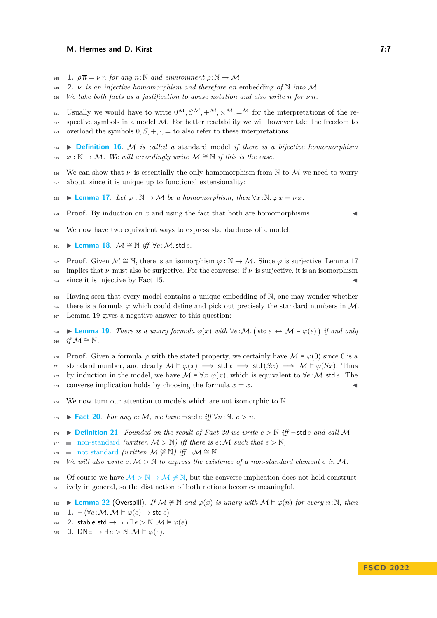- 248 **[1.](https://www.ps.uni-saarland.de/extras/tennenbaum/Tennenbaum_paper/Tennenbaum.Peano.html#eval_num)**  $\hat{\rho} \overline{n} = \nu n$  for any  $n : \mathbb{N}$  and environment  $\rho : \mathbb{N} \to \mathcal{M}$ .
- <sup>249</sup> **[2.](https://www.ps.uni-saarland.de/extras/tennenbaum/Tennenbaum_paper/Tennenbaum.Peano.html#inu_inj)** *ν is an injective homomorphism and therefore an* embedding *of* N *into* M*.*
- 250 *We take both facts as a justification to abuse notation and also write*  $\overline{n}$  *for*  $\nu n$ *.*

251 Usually we would have to write  $0^{\mathcal{M}}, S^{\mathcal{M}}, +^{\mathcal{M}}, \times^{\mathcal{M}}, =^{\mathcal{M}}$  for the interpretations of the re- $252$  spective symbols in a model  $M$ . For better readability we will however take the freedom to <sup>253</sup> overload the symbols  $0, S, +, \cdot, =$  to also refer to these interpretations.

- <sup>254</sup> I **[Definition 16](https://www.ps.uni-saarland.de/extras/tennenbaum/Tennenbaum_paper/Tennenbaum.Peano.html#stdModel)**. M *is called a* standard model *if there is a bijective homomorphism* 255  $\varphi : \mathbb{N} \to \mathcal{M}$ *. We will accordingly write*  $\mathcal{M} \cong \mathbb{N}$  *if this is the case.*
- <sup>256</sup> We can show that  $\nu$  is essentially the only homomorphism from N to M we need to worry <sup>257</sup> about, since it is unique up to functional extensionality:
- <span id="page-6-0"></span>258  $\blacktriangleright$  **[Lemma 17](https://www.ps.uni-saarland.de/extras/tennenbaum/Tennenbaum_paper/Tennenbaum.Peano.html#hom_agree_inu)**. Let  $\varphi : \mathbb{N} \to \mathcal{M}$  be a homomorphism, then  $\forall x : \mathbb{N}, \varphi x = \nu x$ .
- **Proof.** By induction on  $x$  and using the fact that both are homomorphisms.
- <span id="page-6-4"></span><sup>260</sup> We now have two equivalent ways to express standardness of a model.
- 261 ► [Lemma 18](https://www.ps.uni-saarland.de/extras/tennenbaum/Tennenbaum_paper/Tennenbaum.Peano.html#stdModel_eqiv).  $M \cong N$  *iff*  $\forall e : M$ *stde.*
- **Proof.** Given  $M \cong \mathbb{N}$ , there is an isomorphism  $\varphi : \mathbb{N} \to M$ . Since  $\varphi$  is surjective, Lemma [17](#page-6-0) <sup>263</sup> implies that  $\nu$  must also be surjective. For the converse: if  $\nu$  is surjective, it is an isomorphism  $_{264}$  since it is injective by Fact [15.](#page-5-4)
- <sup>265</sup> Having seen that every model contains a unique embedding of N, one may wonder whether
- 266 there is a formula  $\varphi$  which could define and pick out precisely the standard numbers in M. <sup>267</sup> Lemma [19](#page-6-1) gives a negative answer to this question:

<span id="page-6-1"></span>268 **► [Lemma 19](https://www.ps.uni-saarland.de/extras/tennenbaum/Tennenbaum_paper/Tennenbaum.Coding.html#stdModel_equiv)**. *There is a unary formula*  $\varphi(x)$  *with*  $\forall e : \mathcal{M}$ . (stde  $\leftrightarrow \mathcal{M} \models \varphi(e)$ ) *if and only* 269 *if*  $M ≌ N$ .

- **Proof.** Given a formula  $\varphi$  with the stated property, we certainly have  $\mathcal{M} \models \varphi(\overline{0})$  since  $\overline{0}$  is a 271 standard number, and clearly  $\mathcal{M} \models \varphi(x) \implies \mathsf{std} \, x \implies \mathsf{std} \, (Sx) \implies \mathcal{M} \models \varphi(Sx)$ . Thus 272 by induction in the model, we have  $\mathcal{M} \models \forall x \, \varphi(x)$ , which is equivalent to  $\forall e \, \varphi \mathcal{M}$ . std *e*. The <sup>273</sup> converse implication holds by choosing the formula  $x = x$ .
- <span id="page-6-2"></span><sup>274</sup> We now turn our attention to models which are not isomorphic to N.
- 275 ► **[Fact 20](https://www.ps.uni-saarland.de/extras/tennenbaum/Tennenbaum_paper/Tennenbaum.Coding.html#num_lt_nonStd)**. For any  $e: M$ , we have  $\neg$  std  $e$  *iff*  $\forall n: \mathbb{N}$ .  $e > \overline{n}$ .

276 **[Definition 21](https://www.ps.uni-saarland.de/extras/tennenbaum/Tennenbaum_paper/Tennenbaum.Peano.html#nonStd)**. Founded on the result of Fact [20](#page-6-2) we write  $e > \mathbb{N}$  iff  $\neg$  std  $e$  and call M

- 277 [non-standard](https://www.ps.uni-saarland.de/extras/tennenbaum/Tennenbaum_paper/Tennenbaum.Peano.html#nonStd) *(written*  $M > N$ *)* iff there is  $e : M$  such that  $e > N$ ,
- $278$  [not standard](https://www.ps.uni-saarland.de/extras/tennenbaum/Tennenbaum_paper/Tennenbaum.Peano.html#notStd) *(written*  $M \not\cong N$ *) iff*  $\neg M \cong N$ .
- 279 *We will also write*  $e: \mathcal{M} > \mathbb{N}$  to express the existence of a non-standard element  $e$  in  $\mathcal{M}$ .
- 280 Of course we have  $M > \mathbb{N} \to \mathcal{M} \not\cong \mathbb{N}$ , but the converse implication does not hold construct-<sup>281</sup> ively in general, so the distinction of both notions becomes meaningful.
- <span id="page-6-3"></span> $282$  **► [Lemma 22](https://www.ps.uni-saarland.de/extras/tennenbaum/Tennenbaum_paper/Tennenbaum.Coding.html#Overspill)** (Overspill). *If*  $M \ncong \mathbb{N}$  *and*  $\varphi(x)$  *is unary with*  $M \vDash \varphi(\overline{n})$  *for every n*:N, *then*
- [1.](https://www.ps.uni-saarland.de/extras/tennenbaum/Tennenbaum_paper/Tennenbaum.Coding.html#Overspill)  $\neg (\forall e : \mathcal{M} \ldotp \mathcal{M} \models \varphi(e) \rightarrow \mathsf{std}\,e)$ 283
- 284 **[2.](https://www.ps.uni-saarland.de/extras/tennenbaum/Tennenbaum_paper/Tennenbaum.Coding.html#Overspill_DN)** stable std  $\rightarrow \neg \neg \exists e > \mathbb{N}$ .  $\mathcal{M} \models \varphi(e)$
- 285 **[3.](https://www.ps.uni-saarland.de/extras/tennenbaum/Tennenbaum_paper/Tennenbaum.Coding.html#Overspill_DNE)** DNE  $\rightarrow \exists e > \mathbb{N}$ .  $\mathcal{M} \models \varphi(e)$ .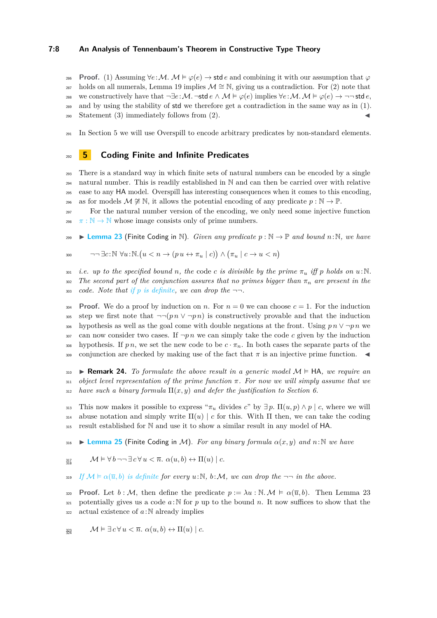#### **7:8 An Analysis of Tennenbaum's Theorem in Constructive Type Theory**

**Proof.** (1) Assuming  $\forall e: M$ .  $M \models \varphi(e) \rightarrow \text{std }e$  and combining it with our assumption that  $\varphi$ 

 $287$  holds on all numerals, Lemma [19](#page-6-1) implies  $\mathcal{M} \cong \mathbb{N}$ , giving us a contradiction. For (2) note that

288 we constructively have that  $\neg \exists e: \mathcal{M}.\neg \mathsf{std}\, e \land \mathcal{M} \models \varphi(e) \text{ implies } \forall e: \mathcal{M}.\neg \mathcal{M} \models \varphi(e) \rightarrow \neg \neg \mathsf{std}\, e,$ 

<sup>289</sup> and by using the stability of std we therefore get a contradiction in the same way as in (1).  $290$  Statement (3) immediately follows from (2).

<sup>291</sup> In Section [5](#page-7-0) we will use Overspill to encode arbitrary predicates by non-standard elements.

## <span id="page-7-0"></span><sup>292</sup> **5 Coding Finite and Infinite Predicates**

 There is a standard way in which finite sets of natural numbers can be encoded by a single natural number. This is readily established in N and can then be carried over with relative ease to any HA model. Overspill has interesting consequences when it comes to this encoding, 296 as for models  $M \not\cong \mathbb{N}$ , it allows the potential encoding of any predicate  $p : \mathbb{N} \to \mathbb{P}$ .

<sup>297</sup> For the natural number version of the encoding, we only need some injective function <sup>298</sup>  $\pi : \mathbb{N} \to \mathbb{N}$  whose image consists only of prime numbers.

<span id="page-7-1"></span>299 **I [Lemma 23](https://www.ps.uni-saarland.de/extras/tennenbaum/Tennenbaum_paper/Tennenbaum.Coding.html#Coding_nat)** (Finite Coding in N). *Given any predicate*  $p : \mathbb{N} \to \mathbb{P}$  *and bound n*:N*, we have* 

$$
\text{and } \neg\neg \exists c: \mathbb{N} \ \forall u: \mathbb{N}. \big( u < n \to (p \, u \leftrightarrow \pi_u \mid c) \big) \land \big( \pi_u \mid c \to u < n \big)
$$

301 *i.e.* up to the specified bound *n*, the code *c* is divisible by the prime  $\pi_u$  iff p holds on  $u:\mathbb{N}$ . 302 *The second part of the conjunction assures that no primes bigger than*  $\pi_n$  *are present in the* 303 *code.* Note that if p [is definite,](https://www.ps.uni-saarland.de/extras/tennenbaum/Tennenbaum_paper/Tennenbaum.Coding.html#Coding_nat_Definite) we can drop the  $\neg$ .

**Proof.** We do a proof by induction on *n*. For  $n = 0$  we can choose  $c = 1$ . For the induction 305 step we first note that  $\neg$ ( $pn \lor \neg pn$ ) is constructively provable and that the induction 306 hypothesis as well as the goal come with double negations at the front. Using  $p n \vee \neg p n$  we  $307$  can now consider two cases. If  $\neg p \, n$  we can simply take the code c given by the induction 308 hypothesis. If p n, we set the new code to be  $c \cdot \pi_n$ . In both cases the separate parts of the  $\frac{309}{209}$  conjunction are checked by making use of the fact that  $\pi$  is an injective prime function.

<span id="page-7-3"></span>310 **Example 24.** To formulate the above result in a generic model  $M \models HA$ , we require an <sup>311</sup> *object level representation of the prime function π. For now we will simply assume that we*  $312$  *have such a binary formula*  $\Pi(x, y)$  *and defer the justification to Section [6.](#page-8-0)* 

313 This now makes it possible to express " $\pi_u$  divides *c*" by  $\exists p$ .  $\Pi(u, p) \wedge p \mid c$ , where we will  $_{314}$  abuse notation and simply write  $\Pi(u) \mid c$  for this. With  $\Pi$  then, we can take the coding <sup>315</sup> result established for N and use it to show a similar result in any model of HA.

<span id="page-7-2"></span> $\mathbf{S}$ **16**  $\blacksquare$  **[Lemma 25](https://www.ps.uni-saarland.de/extras/tennenbaum/Tennenbaum_paper/Tennenbaum.Coding.html#Coding_model_binary)** (Finite Coding in M). *For any binary formula*  $\alpha(x, y)$  *and*  $n : \mathbb{N}$  *we have* 

$$
\lim_{313} \qquad \mathcal{M} \models \forall \, b \,\neg \neg \, \exists \, c \, \forall \, u < \overline{n}. \ \alpha(u, b) \leftrightarrow \Pi(u) \mid c.
$$

 $\mathcal{L}$  *If*  $\mathcal{M} \models \alpha(\overline{u}, b)$  *[is definite](https://www.ps.uni-saarland.de/extras/tennenbaum/Tennenbaum_paper/Tennenbaum.Coding.html#Coding_model_binary_Definite) for every*  $u:\mathbb{N}, b:\mathcal{M}$ *, we can drop the*  $\neg$  *n in the above.* 

320 **Proof.** Let  $b : M$ , then define the predicate  $p := \lambda u : \mathbb{N} \cdot M \models \alpha(\overline{u}, b)$ . Then Lemma [23](#page-7-1) 321 potentially gives us a code  $a:\mathbb{N}$  for p up to the bound n. It now suffices to show that the  $322$  actual existence of  $a:\mathbb{N}$  already implies

$$
\mathbf{M} \vDash \exists c \forall u < \overline{n}.\ \alpha(u, b) \leftrightarrow \Pi(u) \mid c.
$$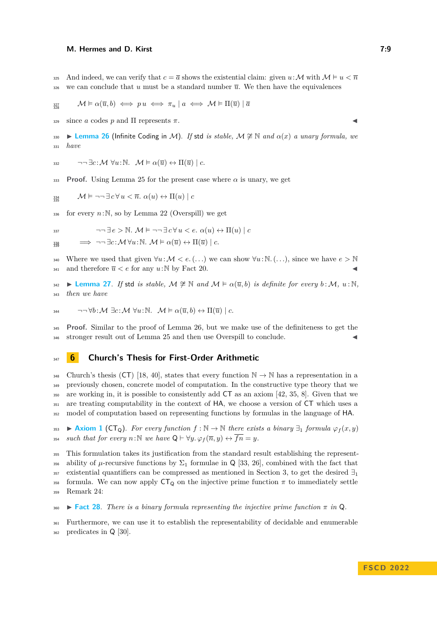325 And indeed, we can verify that  $c = \overline{a}$  shows the existential claim: given  $u : \mathcal{M}$  with  $\mathcal{M} \models u < \overline{n}$ we can conclude that *u* must be a standard number  $\overline{u}$ . We then have the equivalences

$$
\lim_{327 \atop 328} \qquad \mathcal{M} \models \alpha(\overline{u}, b) \iff pu \iff \pi_u \mid a \iff \mathcal{M} \models \Pi(\overline{u}) \mid \overline{a}
$$

 $\sum_{329}$  since *a* codes *p* and  $\Pi$  represents  $\pi$ .

<span id="page-8-1"></span>330 **Example 16** Infinite Coding in M). *If* std *is stable,*  $M \ncong \mathbb{N}$  *and*  $\alpha(x)$  *a unary formula, we* <sup>331</sup> *have*

$$
\exists 32 \qquad \neg \neg \exists c: \mathcal{M} \ \forall u: \mathbb{N}. \ \mathcal{M} \models \alpha(\overline{u}) \leftrightarrow \Pi(\overline{u}) \mid c.
$$

**Proof.** Using Lemma [25](#page-7-2) for the present case where  $\alpha$  is unary, we get

$$
\lim_{334 \atop 335} \qquad \mathcal{M} \models \neg \neg \exists c \forall u < \overline{n}. \ \alpha(u) \leftrightarrow \Pi(u) \mid c
$$

 $\frac{336}{1}$  for every  $n:\mathbb{N}$ , so by Lemma [22](#page-6-3) (Overspill) we get

$$
\neg\neg \exists e \ge \mathbb{N}. \ \mathcal{M} \models \neg\neg \exists c \,\forall u < e. \ \alpha(u) \leftrightarrow \Pi(u) \mid c
$$

$$
\Rightarrow \neg\neg \exists c:\mathcal{M} \forall u:\mathbb{N}.\ \mathcal{M} \models \alpha(\overline{u}) \leftrightarrow \Pi(\overline{u}) \mid c.
$$

340 Where we used that given  $\forall u : \mathcal{M} < e$ . (...) we can show  $\forall u : \mathbb{N}$ . (...), since we have  $e > \mathbb{N}$ 341 and therefore  $\overline{u} < e$  for any  $u:\mathbb{N}$  by Fact [20.](#page-6-2)

<span id="page-8-2"></span> $342$  **► [Lemma 27](https://www.ps.uni-saarland.de/extras/tennenbaum/Tennenbaum_paper/Tennenbaum.Coding.html#Coding_nonstd_binary_Definite)**. If std *is stable,*  $M \not\cong \mathbb{N}$  and  $M \vDash \alpha(\overline{u}, b)$  *is definite for every*  $b : M, u : \mathbb{N}$ , <sup>343</sup> *then we have*

344 
$$
\neg\neg \forall b: \mathcal{M} \exists c: \mathcal{M} \forall u: \mathbb{N}. \mathcal{M} \models \alpha(\overline{u}, b) \leftrightarrow \Pi(\overline{u}) \mid c.
$$

<sup>345</sup> **Proof.** Similar to the proof of Lemma [26,](#page-8-1) but we make use of the definiteness to get the 346 stronger result out of Lemma [25](#page-7-2) and then use Overspill to conclude.

## <span id="page-8-0"></span><sup>347</sup> **6 Church's Thesis for First-Order Arithmetic**

348 Church's thesis (CT) [\[18,](#page-17-3) [40\]](#page-17-4), states that every function  $\mathbb{N} \to \mathbb{N}$  has a representation in a previously chosen, concrete model of computation. In the constructive type theory that we are working in, it is possible to consistently add CT as an axiom [\[42,](#page-18-1) [35,](#page-17-10) [8\]](#page-16-9). Given that we are treating computability in the context of HA, we choose a version of CT which uses a model of computation based on representing functions by formulas in the language of HA.

353 [Axiom 1](https://www.ps.uni-saarland.de/extras/tennenbaum/Tennenbaum_paper/Tennenbaum.Church.html#CT_Q) (CT<sub>Q</sub>). For every function  $f : \mathbb{N} \to \mathbb{N}$  there exists a binary  $\exists_1$  formula  $\varphi_f(x, y)$ 354 *such that for every*  $n:\mathbb{N}$  *we have*  $Q \vdash \forall y. \varphi_f(\overline{n}, y) \leftrightarrow \overline{fn} = y$ *.* 

<sup>355</sup> This formulation takes its justification from the standard result establishing the represent-356 ability of  $\mu$ -recursive functions by  $\Sigma_1$  formulae in Q [\[33,](#page-17-11) [26\]](#page-17-12), combined with the fact that 357 existential quantifiers can be compressed as mentioned in Section [3,](#page-4-0) to get the desired  $\exists_1$ 358 formula. We can now apply  $CT_Q$  on the injective prime function  $\pi$  to immediately settle <sup>359</sup> Remark [24:](#page-7-3)

 $\text{360}$  **[Fact 28](https://www.ps.uni-saarland.de/extras/tennenbaum/Tennenbaum_paper/Tennenbaum.Variants.html#Irred_repr)**. There is a binary formula representing the injective prime function  $\pi$  in Q.

<sup>361</sup> Furthermore, we can use it to establish the representability of decidable and enumerable <sup>362</sup> predicates in Q [\[30\]](#page-17-13).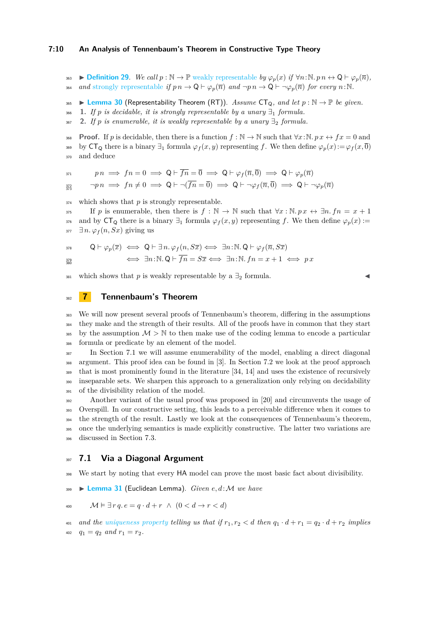#### **7:10 An Analysis of Tennenbaum's Theorem in Constructive Type Theory**

363 **▶ [Definition 29](https://www.ps.uni-saarland.de/extras/tennenbaum/Tennenbaum_paper/Tennenbaum.Church.html#strong_repr).** *We call*  $p : \mathbb{N} \to \mathbb{P}$  [weakly representable](https://www.ps.uni-saarland.de/extras/tennenbaum/Tennenbaum_paper/Tennenbaum.Church.html#weak_repr) *by*  $\varphi_n(x)$  *if*  $\forall n : \mathbb{N} \cdot p \cdot n \leftrightarrow \mathbb{Q} \vdash \varphi_n(\overline{n})$ , 364 *and* [strongly representable](https://www.ps.uni-saarland.de/extras/tennenbaum/Tennenbaum_paper/Tennenbaum.Church.html#strong_repr) *if*  $p n \to \mathsf{Q} \vdash \varphi_n(\overline{n})$  *and*  $\neg p n \to \mathsf{Q} \vdash \neg \varphi_n(\overline{n})$  *for every*  $n : \mathbb{N}$ .

<span id="page-9-3"></span>365 **Example 10** I [Lemma 30](https://www.ps.uni-saarland.de/extras/tennenbaum/Tennenbaum_paper/Tennenbaum.Church.html#CT_RTs) (Representability Theorem (RT)). Assume  $CT_0$ , and let  $p : \mathbb{N} \to \mathbb{P}$  be given.

366 **[1.](https://www.ps.uni-saarland.de/extras/tennenbaum/Tennenbaum_paper/Tennenbaum.Church.html#CT_RTs)** *If*  $p$  *is decidable, it is strongly representable by a unary*  $\exists_1$  *formula.* 

367 **[2.](https://www.ps.uni-saarland.de/extras/tennenbaum/Tennenbaum_paper/Tennenbaum.Church.html#CT_RTw)** *If p is enumerable, it is weakly representable by a unary*  $\exists_2$  *formula.* 

**Proof.** If *p* is decidable, then there is a function  $f : \mathbb{N} \to \mathbb{N}$  such that  $\forall x : \mathbb{N}$ .  $p x \leftrightarrow fx = 0$  and 369 by  $CT_Q$  there is a binary  $\exists_1$  formula  $\varphi_f(x, y)$  representing f. We then define  $\varphi_p(x) := \varphi_f(x, \overline{0})$ <sup>370</sup> and deduce

 $p n \implies f n = 0 \implies \mathsf{Q} \vdash \overline{f n} = \overline{0} \implies \mathsf{Q} \vdash \varphi_f(\overline{n}, \overline{0}) \implies \mathsf{Q} \vdash \varphi_n(\overline{n})$ 

 $\neg pn \implies fn \neq 0 \implies \mathsf{Q} \vdash \neg(\overline{fn} = \overline{0}) \implies \mathsf{Q} \vdash \neg \varphi_f(\overline{n}, \overline{0}) \implies \mathsf{Q} \vdash \neg \varphi_p(\overline{n})$ 372

<sup>374</sup> which shows that *p* is strongly representable.

375 If *p* is enumerable, then there is  $f : \mathbb{N} \to \mathbb{N}$  such that  $\forall x : \mathbb{N} \cdot px \leftrightarrow \exists n. f n = x + 1$ 376 and by  $\mathsf{CT}_\mathsf{Q}$  there is a binary  $\exists_1$  formula  $\varphi_f(x, y)$  representing f. We then define  $\varphi_p(x) :=$  $\exists n. \varphi_f(n, Sx)$  giving us

$$
\begin{array}{ll}\n\mathsf{Q}\vdash \varphi_p(\overline{x}) \iff \mathsf{Q}\vdash \exists\, n.\, \varphi_f(n,S\overline{x}) \iff \exists n\!:\!\mathbb{N}.\, \mathsf{Q}\vdash \varphi_f(\overline{n},S\overline{x}) \\
\iff \exists n\!:\!\mathbb{N}.\, \mathsf{Q}\vdash \overline{fn}=S\overline{x} \iff \exists n\!:\!\mathbb{N}.\,fn=x+1 \iff px\n\end{array}
$$

381 which shows that *p* is weakly representable by a  $\exists$ <sub>2</sub> formula.

<span id="page-9-0"></span><sup>382</sup> **7 Tennenbaum's Theorem**

 We will now present several proofs of Tennenbaum's theorem, differing in the assumptions they make and the strength of their results. All of the proofs have in common that they start <sup>385</sup> by the assumption  $M > N$  to then make use of the coding lemma to encode a particular formula or predicate by an element of the model.

 In Section [7.1](#page-9-1) we will assume enumerability of the model, enabling a direct diagonal argument. This proof idea can be found in [\[3\]](#page-16-0). In Section [7.2](#page-10-0) we look at the proof approach that is most prominently found in the literature [\[34,](#page-17-1) [14\]](#page-16-1) and uses the existence of recursively inseparable sets. We sharpen this approach to a generalization only relying on decidability of the divisibility relation of the model.

 Another variant of the usual proof was proposed in [\[20\]](#page-17-14) and circumvents the usage of Overspill. In our constructive setting, this leads to a perceivable difference when it comes to the strength of the result. Lastly we look at the consequences of Tennenbaum's theorem, once the underlying semantics is made explicitly constructive. The latter two variations are discussed in Section [7.3.](#page-12-0)

#### <span id="page-9-1"></span><sup>397</sup> **7.1 Via a Diagonal Argument**

<span id="page-9-2"></span><sup>398</sup> We start by noting that every HA model can prove the most basic fact about divisibility.

<sup>399</sup> I **[Lemma 31](https://www.ps.uni-saarland.de/extras/tennenbaum/Tennenbaum_paper/Tennenbaum.Peano.html#iEuclid)** (Euclidean Lemma). *Given e, d*:M *we have*

$$
\text{400} \qquad \mathcal{M} \models \exists r \, q. \, e = q \cdot d + r \ \land \ (0 < d \rightarrow r < d)
$$

401 *and the [uniqueness property](https://www.ps.uni-saarland.de/extras/tennenbaum/Tennenbaum_paper/Tennenbaum.Peano.html#iFac_unique) telling us that if*  $r_1, r_2 < d$  *then*  $q_1 \cdot d + r_1 = q_2 \cdot d + r_2$  *implies*  $q_1 = q_2$  *and*  $r_1 = r_2$ .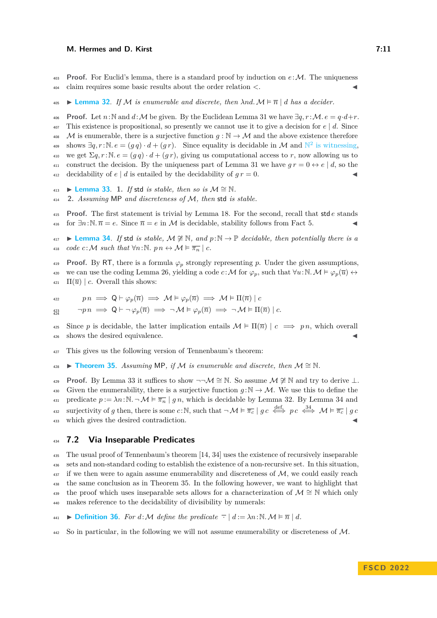**Proof.** For Euclid's lemma, there is a standard proof by induction on  $e:\mathcal{M}$ . The uniqueness <sup>404</sup> claim requires some basic results about the order relation *<*. J

<span id="page-10-2"></span> $\blacktriangle$  **[Lemma 32](https://www.ps.uni-saarland.de/extras/tennenbaum/Tennenbaum_paper/Tennenbaum.Tennenbaum_diagonal.html#dec_div)**. If M is enumerable and discrete, then  $\lambda nd$ .  $\mathcal{M} \models \overline{n} | d$  has a decider.

**Proof.** Let  $n:\mathbb{N}$  and  $d:\mathcal{M}$  be given. By the Euclidean Lemma [31](#page-9-2) we have  $\exists q, r : \mathcal{M}$ .  $e = q \cdot d + r$ . 407 This existence is propositional, so presently we cannot use it to give a decision for  $e \mid d$ . Since 408 M is enumerable, there is a surjective function  $q : \mathbb{N} \to \mathcal{M}$  and the above existence therefore shows  $\exists q, r : \mathbb{N}. e = (g q) \cdot d + (g r)$ . Since equality is decidable in M and  $\mathbb{N}^2$  [is witnessing,](https://www.ps.uni-saarland.de/extras/tennenbaum/Tennenbaum_paper/Tennenbaum.DecidabilityFacts.html#ProductWO) 410 we get  $\Sigma q, r : \mathbb{N}. e = (g q) \cdot d + (g r)$ , giving us computational access to r, now allowing us to 411 construct the decision. By the uniqueness part of Lemma [31](#page-9-2) we have  $q r = 0 \leftrightarrow e \mid d$ , so the 412 decidability of  $e \mid d$  is entailed by the decidability of  $gr = 0$ .

- <span id="page-10-1"></span> $\bullet$  **[Lemma 33](https://www.ps.uni-saarland.de/extras/tennenbaum/Tennenbaum_paper/Tennenbaum.Variants.html#stable_Std)**. **[1.](https://www.ps.uni-saarland.de/extras/tennenbaum/Tennenbaum_paper/Tennenbaum.Variants.html#stable_Std)** *If* std *is stable, then so is*  $M \cong N$ .
- <sup>414</sup> **[2.](https://www.ps.uni-saarland.de/extras/tennenbaum/Tennenbaum_paper/Tennenbaum.Variants.html#MP_Discrete_stable_std)** *Assuming* MP *and discreteness of* M*, then* std *is stable.*

<sup>415</sup> **Proof.** The first statement is trivial by Lemma [18.](#page-6-4) For the second, recall that std *e* stands 416 for  $\exists n:\mathbb{N}\cdot\overline{n}=e$ . Since  $\overline{n}=e$  in M is decidable, stability follows from Fact [5.](#page-3-0)

<span id="page-10-3"></span><sup>417</sup> I **[Lemma 34](https://www.ps.uni-saarland.de/extras/tennenbaum/Tennenbaum_paper/Tennenbaum.Tennenbaum_diagonal.html#Coding_Dec)**. *If* std *is stable,* M 6∼= N*, and p*:N → P *decidable, then potentially there is a* 418 *code*  $c : \mathcal{M}$  *such that*  $\forall n : \mathbb{N}$ *. pn*  $\leftrightarrow \mathcal{M} \models \overline{\pi_n} \mid c$ *.* 

**Proof.** By RT, there is a formula  $\varphi_p$  strongly representing p. Under the given assumptions, we can use the coding Lemma [26,](#page-8-1) yielding a code  $c : \mathcal{M}$  for  $\varphi_p$ , such that  $\forall u : \mathbb{N} \cdot \mathcal{M} \models \varphi_p(\overline{u}) \leftrightarrow$  $\pi$ <sup>421</sup>  $\Pi(\overline{u})$  | *c*. Overall this shows:

$$
p n \implies \mathsf{Q} \vdash \varphi_p(\overline{n}) \implies \mathcal{M} \models \varphi_p(\overline{n}) \implies \mathcal{M} \models \Pi(\overline{n}) \mid c
$$

$$
\lim_{424} \qquad \neg p \, n \implies \mathsf{Q} \vdash \neg \, \varphi_p(\overline{n}) \implies \neg \, \mathcal{M} \models \varphi_p(\overline{n}) \implies \neg \, \mathcal{M} \models \Pi(\overline{n}) \mid c.
$$

425 Since *p* is decidable, the latter implication entails  $\mathcal{M} \models \Pi(\overline{n}) \mid c \implies pn$ , which overall 426 shows the desired equivalence.

<span id="page-10-4"></span><sup>427</sup> This gives us the following version of Tennenbaum's theorem:

 $428$  **► [Theorem 35](https://www.ps.uni-saarland.de/extras/tennenbaum/Tennenbaum_paper/Tennenbaum.Tennenbaum_diagonal.html#Tennenbaum_diagonal)**. Assuming MP, if M is enumerable and discrete, then  $\mathcal{M} \cong \mathbb{N}$ .

**Proof.** By Lemma [33](#page-10-1) it suffices to show  $\neg\neg M \cong \mathbb{N}$ . So assume  $M \ncong \mathbb{N}$  and try to derive  $\perp$ . 430 Given the enumerability, there is a surjective function  $q : \mathbb{N} \to M$ . We use this to define the  $\mu_{31}$  predicate  $p := \lambda n : \mathbb{N} \setminus \mathbb{N} \models \overline{\pi_n} | g \, n$ , which is decidable by Lemma [32.](#page-10-2) By Lemma [34](#page-10-3) and surjectivity of *g* then, there is some *c*:N, such that  $\neg M \models \overline{\pi_c} \mid g \, c \stackrel{\text{def.}}{\iff} pc \stackrel{34}{\iff} M \models \overline{\pi_c} \mid g \, c$  $\neg M \models \overline{\pi_c} \mid g \, c \stackrel{\text{def.}}{\iff} pc \stackrel{34}{\iff} M \models \overline{\pi_c} \mid g \, c$  $\neg M \models \overline{\pi_c} \mid g \, c \stackrel{\text{def.}}{\iff} pc \stackrel{34}{\iff} M \models \overline{\pi_c} \mid g \, c$ <sup>433</sup> which gives the desired contradiction.

### <span id="page-10-0"></span><sup>434</sup> **7.2 Via Inseparable Predicates**

 The usual proof of Tennenbaum's theorem [\[14,](#page-16-1) [34\]](#page-17-1) uses the existence of recursively inseparable sets and non-standard coding to establish the existence of a non-recursive set. In this situation, if we then were to again assume enumerability and discreteness of M, we could easily reach the same conclusion as in Theorem [35.](#page-10-4) In the following however, we want to highlight that 439 the proof which uses inseparable sets allows for a characterization of  $\mathcal{M} \cong \mathbb{N}$  which only makes reference to the decidability of divisibility by numerals:

**441**  $\triangleright$  **[Definition 36](https://www.ps.uni-saarland.de/extras/tennenbaum/Tennenbaum_paper/Tennenbaum.Tennenbaum_insep.html#div_num)**. For  $d : \mathcal{M}$  define the predicate  $\overline{\cdot} | d := \lambda n : \mathbb{N} \cdot \mathcal{M} \models \overline{n} | d$ .

 $\mu_{442}$  So in particular, in the following we will not assume enumerability or discreteness of M.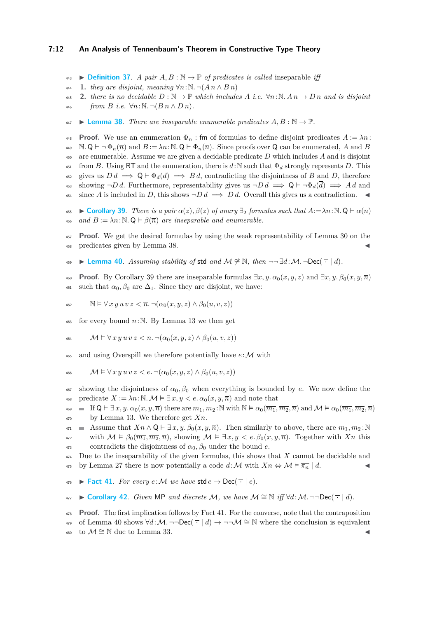#### **7:12 An Analysis of Tennenbaum's Theorem in Constructive Type Theory**

- 443 **▶ [Definition 37](https://www.ps.uni-saarland.de/extras/tennenbaum/Tennenbaum_paper/Tennenbaum.Tennenbaum_insep.html#Insep)**. *A pair A, B* :  $\mathbb{N}$  →  $\mathbb{P}$  *of predicates is called* inseparable *iff*
- <sup>444</sup> **1.** *they are disjoint, meaning* ∀*n*:N*.* ¬(*A n* ∧ *B n*)
- 445 **2.** *there is no decidable*  $D : \mathbb{N} \to \mathbb{P}$  *which includes*  $A$  *i.e.*  $\forall n : \mathbb{N}$ .  $A n \to D n$  *and is disjoint* 446 *from B i.e.*  $\forall n : \mathbb{N} \neg (B \cap D \cap D)$ .
- <span id="page-11-1"></span> $\longleftarrow$  **[Lemma 38](https://www.ps.uni-saarland.de/extras/tennenbaum/Tennenbaum_paper/Tennenbaum.Tennenbaum_insep.html#Insep_)**. There are inseparable enumerable predicates  $A, B : \mathbb{N} \to \mathbb{P}$ .

**Proof.** We use an enumeration  $\Phi_n$ : fm of formulas to define disjoint predicates  $A := \lambda n$ :  $\mathcal{A}_4$ ,  $\mathcal{A}_8$   $\vdash \neg \Phi_n(\overline{n})$  and  $B := \lambda n : \mathcal{A} \cup \Phi_n(\overline{n})$ . Since proofs over Q can be enumerated, A and B <sup>450</sup> are enumerable. Assume we are given a decidable predicate *D* which includes *A* and is disjoint  $\frac{451}{451}$  from *B*. Using RT and the enumeration, there is *d*:N such that  $\Phi_d$  strongly represents *D*. This 452 gives us  $D d \implies Q \vdash \Phi_d(\overline{d}) \implies B d$ , contradicting the disjointness of *B* and *D*, therefore 453 showing  $\neg D d$ . Furthermore, representability gives us  $\neg D d \implies \mathsf{Q} \vdash \neg \Phi_d(\overline{d}) \implies A d$  and since *A* is included in *D*, this shows  $\neg D d \implies D d$ . Overall this gives us a contradiction.

- <span id="page-11-2"></span> $\bullet$  **► [Corollary 39](https://www.ps.uni-saarland.de/extras/tennenbaum/Tennenbaum_paper/Tennenbaum.Tennenbaum_insep.html#CT_Inseparable)**. *There is a pair*  $\alpha(z)$ ,  $\beta(z)$  *of unary*  $\exists$ <sub>2</sub> *formulas such that*  $A := \lambda n : \mathbb{N}$ . Q  $\vdash \alpha(\overline{n})$ 456 *and*  $B := \lambda n : \mathbb{N}$ .  $\mathbb{Q} \vdash \beta(\overline{n})$  *are inseparable and enumerable.*
- <sup>457</sup> **Proof.** We get the desired formulas by using the weak representability of Lemma [30](#page-9-3) on the <sup>458</sup> predicates given by Lemma [38.](#page-11-1) J
- <span id="page-11-4"></span>459 ► [Lemma 40](https://www.ps.uni-saarland.de/extras/tennenbaum/Tennenbaum_paper/Tennenbaum.Tennenbaum_insep.html#nonDecDiv). Assuming stability of std and  $M \ncong \mathbb{N}$ , then  $\neg\neg \exists d : \mathcal{M}.\neg \text{Dec}(\neg \mid d)$ .
- **Proof.** By Corollary [39](#page-11-2) there are inseparable formulas  $\exists x, y, \alpha_0(x, y, z)$  and  $\exists x, y, \beta_0(x, y, \overline{n})$ <sup>461</sup> such that  $\alpha_0$ ,  $\beta_0$  are  $\Delta_1$ . Since they are disjoint, we have:

462 
$$
\mathbb{N} \models \forall x \, y \, u \, v \, z < \overline{n} \, \neg(\alpha_0(x, y, z) \land \beta_0(u, v, z))
$$

 $463$  for every bound  $n:\mathbb{N}$ . By Lemma [13](#page-5-3) we then get

464 
$$
\mathcal{M} \vDash \forall x \, y \, u \, v \, z < \overline{n} \cdot \neg(\alpha_0(x, y, z) \land \beta_0(u, v, z))
$$

 $465$  and using Overspill we therefore potentially have  $e:\mathcal{M}$  with

$$
\mathcal{M} \vDash \forall x \, y \, u \, v \, z < e. \, \neg(\alpha_0(x, y, z) \land \beta_0(u, v, z))
$$

- <sup>467</sup> showing the disjointness of  $α_0, β_0$  when everything is bounded by *e*. We now define the 468 predicate  $X := \lambda n : \mathbb{N}$ .  $\mathcal{M} \models \exists x, y \leq e$ .  $\alpha_0(x, y, \overline{n})$  and note that
- $\mathcal{A}_{469}$  = If  $Q \vdash \exists x, y, \alpha_0(x, y, \overline{n})$  there are  $m_1, m_2 : \mathbb{N}$  with  $\mathbb{N} \models \alpha_0(\overline{m_1}, \overline{m_2}, \overline{n})$  and  $\mathcal{M} \models \alpha_0(\overline{m_1}, \overline{m_2}, \overline{n})$ <sup>470</sup> by Lemma [13.](#page-5-3) We therefore get *Xn*.
- 471 Assume that  $X_n \wedge \mathsf{Q} \vdash \exists x, y, \beta_0(x, y, \overline{n})$ . Then similarly to above, there are  $m_1, m_2$ :<sup>N</sup> with  $M \models \beta_0(\overline{m_1}, \overline{m_2}, \overline{n})$ , showing  $M \models \exists x, y < e$ .  $\beta_0(x, y, \overline{n})$ . Together with *Xn* this
- $\alpha_{13}$  contradicts the disjointness of  $\alpha_0$ ,  $\beta_0$  under the bound *e*.

<sup>474</sup> Due to the inseparability of the given formulas, this shows that *X* cannot be decidable and  $\frac{475}{475}$  by Lemma [27](#page-8-2) there is now potentially a code  $d: \mathcal{M}$  with  $X_n \Leftrightarrow \mathcal{M} \models \overline{\pi_n} \mid d$ .

- <span id="page-11-3"></span> $\bullet$  **[Fact 41](https://www.ps.uni-saarland.de/extras/tennenbaum/Tennenbaum_paper/Tennenbaum.Variants.html#Dec_Div_nat_std)**. For every  $e: M$  we have std  $e \rightarrow \text{Dec}(\overline{\cdot} \mid e)$ .
- <span id="page-11-0"></span> $477$  **► [Corollary 42](https://www.ps.uni-saarland.de/extras/tennenbaum/Tennenbaum_paper/Tennenbaum.Variants.html#Tennenbaum2)**. *Given* MP *and discrete M*, we have  $M \cong N$  *iff*  $\forall d$ : *M*. ¬¬Dec( $\top$  | *d*).
- <sup>478</sup> **Proof.** The first implication follows by Fact [41.](#page-11-3) For the converse, note that the contraposition 479 of Lemma [40](#page-11-4) shows  $\forall d : \mathcal{M}$ .  $\neg \neg \text{Dec}(\neg \neg d) \rightarrow \neg \neg \mathcal{M} \cong \mathbb{N}$  where the conclusion is equivalent 480 to  $\mathcal{M} \cong \mathbb{N}$  due to Lemma [33.](#page-10-1)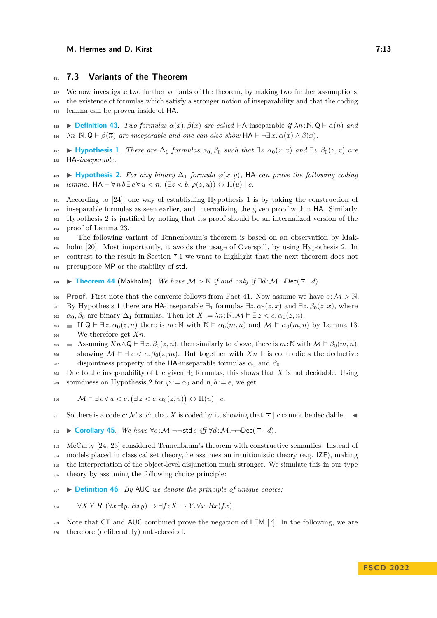#### <span id="page-12-0"></span><sup>481</sup> **7.3 Variants of the Theorem**

<sup>482</sup> We now investigate two further variants of the theorem, by making two further assumptions: <sup>483</sup> the existence of formulas which satisfy a stronger notion of inseparability and that the coding <sup>484</sup> lemma can be proven inside of HA.

<span id="page-12-6"></span><sup>485</sup> I **[Definition 43](https://www.ps.uni-saarland.de/extras/tennenbaum/Tennenbaum_paper/Tennenbaum.Makholm.html#def_obj_Insep)**. *Two formulas α*(*x*)*, β*(*x*) *are called* HA-inseparable *if λn*:N*.* Q ` *α*(*n*) *and*  $\mathcal{A}_{486}$   $\lambda n:\mathbb{N}\mathbb{Q}\vdash \beta(\overline{n})$  are inseparable and one can also show  $HA \vdash \neg \exists x.\ \alpha(x)\land \beta(x)$ .

<span id="page-12-1"></span> $\leftrightarrow$  **[Hypothesis 1](https://www.ps.uni-saarland.de/extras/tennenbaum/Tennenbaum_paper/Tennenbaum.Makholm.html#obj_Insep)**. *There are*  $\Delta_1$  *formulas*  $\alpha_0, \beta_0$  *such that*  $\exists z. \alpha_0(z, x)$  *and*  $\exists z. \beta_0(z, x)$  *are* <sup>488</sup> HA*-inseparable.*

<span id="page-12-2"></span><sup>489</sup> I **[Hypothesis 2](https://www.ps.uni-saarland.de/extras/tennenbaum/Tennenbaum_paper/Tennenbaum.Makholm.html#obj_Coding)**. *For any binary* ∆<sup>1</sup> *formula ϕ*(*x, y*)*,* HA *can prove the following coding*  $_{490}$  *lemma:*  $HA \vdash \forall n b \exists c \forall u < n. (\exists z < b. \varphi(z, u)) \leftrightarrow \Pi(u) \mid c$ .

 According to [\[24\]](#page-17-7), one way of establishing Hypothesis [1](#page-12-1) is by taking the construction of inseparable formulas as seen earlier, and internalizing the given proof within HA. Similarly, Hypothesis [2](#page-12-2) is justified by noting that its proof should be an internalized version of the proof of Lemma [23.](#page-7-1)

 The following variant of Tennenbaum's theorem is based on an observation by Mak- holm [\[20\]](#page-17-14). Most importantly, it avoids the usage of Overspill, by using Hypothesis [2.](#page-12-2) In contrast to the result in Section [7.1](#page-9-1) we want to highlight that the next theorem does not presuppose MP or the stability of std.

<span id="page-12-4"></span>499 **► [Theorem 44](https://www.ps.uni-saarland.de/extras/tennenbaum/Tennenbaum_paper/Tennenbaum.Variants.html#Makholm)** (Makholm). We have  $M > \mathbb{N}$  if and only if  $\exists d : M.\neg \text{Dec}(\neg \mid d)$ .

500 **Proof.** First note that the converse follows from Fact [41.](#page-11-3) Now assume we have  $e:\mathcal{M} > \mathbb{N}$ . 501 By Hypothesis [1](#page-12-1) there are HA-inseparable  $\exists_1$  formulas  $\exists z \, \alpha_0(z, x)$  and  $\exists z \, \beta_0(z, x)$ , where 502  $\alpha_0, \beta_0$  are binary  $\Delta_1$  formulas. Then let  $X := \lambda n : \mathbb{N}$ .  $\mathcal{M} \models \exists z < e$ .  $\alpha_0(z, \overline{n})$ .

503 If  $Q \vdash \exists z. \alpha_0(z, \overline{n})$  there is  $m : \mathbb{N}$  with  $\mathbb{N} \models \alpha_0(\overline{m}, \overline{n})$  and  $\mathcal{M} \models \alpha_0(\overline{m}, \overline{n})$  by Lemma [13.](#page-5-3) <sup>504</sup> We therefore get *Xn*.

505 Assuming  $Xn \wedge Q \vdash \exists z. \beta_0(z, \overline{n})$ , then similarly to above, there is  $m: \mathbb{N}$  with  $\mathcal{M} \models \beta_0(\overline{m}, \overline{n})$ , so showing  $M \models \exists z < e \ldotp \beta_0(z, \overline{m})$ . But together with  $X_n$  this contradicts the deductive

 $507$  disjointness property of the HA-inseparable formulas  $α_0$  and  $β_0$ .

508 Due to the inseparability of the given  $\exists_1$  formulas, this shows that *X* is not decidable. Using 509 soundness on Hypothesis [2](#page-12-2) for  $\varphi := \alpha_0$  and  $n, b := e$ , we get

510 
$$
\mathcal{M} \vDash \exists c \forall u < e. (\exists z < e. \alpha_0(z, u)) \leftrightarrow \Pi(u) \mid c.
$$

511 So there is a code *c*: M such that X is coded by it, showing that  $\overline{\cdot}$  | *c* cannot be decidable.

512 ► [Corollary 45](https://www.ps.uni-saarland.de/extras/tennenbaum/Tennenbaum_paper/Tennenbaum.Variants.html#Makholm). *We have*  $\forall e : \mathcal{M}. \neg \neg \mathsf{std} \neq \exists f \forall d : \mathcal{M}. \neg \neg \mathsf{Dec}(\neg \neg \neg d).$ 

 McCarty [\[24,](#page-17-7) [23\]](#page-17-6) considered Tennenbaum's theorem with constructive semantics. Instead of  $_{514}$  models placed in classical set theory, he assumes an intuitionistic theory (e.g. IZF), making the interpretation of the object-level disjunction much stronger. We simulate this in our type theory by assuming the following choice principle:

<span id="page-12-5"></span><sup>517</sup> I **[Definition 46](https://www.ps.uni-saarland.de/extras/tennenbaum/Tennenbaum_paper/Tennenbaum.Synthetic.html#UC)**. *By* AUC *we denote the principle of unique choice:*

$$
\forall X \ Y \ R. \ (\forall x \ \exists! y. \ Rxy) \ \rightarrow \ \exists f \colon X \ \rightarrow Y. \ \forall x. \ Rx(fx)
$$

<span id="page-12-3"></span><sup>519</sup> Note that CT and AUC combined prove the negation of LEM [\[7\]](#page-16-3). In the following, we are <sup>520</sup> therefore (deliberately) anti-classical.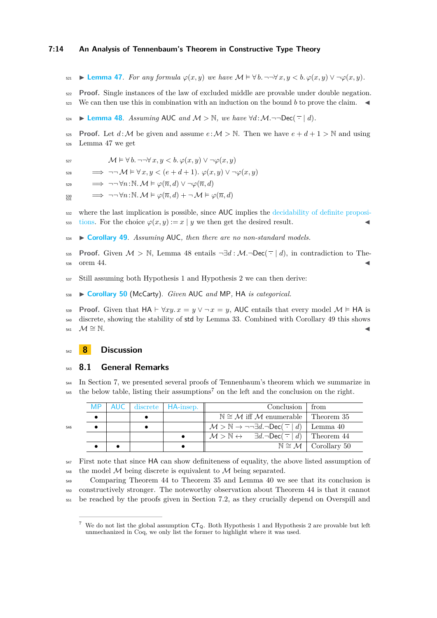- 521 ► [Lemma 47](https://www.ps.uni-saarland.de/extras/tennenbaum/Tennenbaum_paper/Tennenbaum.McCarty.html#bounded_definite_binary). For any formula  $\varphi(x, y)$  we have  $\mathcal{M} \models \forall b$ .  $\neg \neg \forall x, y \leq b$ .  $\varphi(x, y) \lor \neg \varphi(x, y)$ .
- <sup>522</sup> **Proof.** Single instances of the law of excluded middle are provable under double negation.
- 523 We can then use this in combination with an induction on the bound *b* to prove the claim.
- <span id="page-13-1"></span>524 ► **[Lemma 48](https://www.ps.uni-saarland.de/extras/tennenbaum/Tennenbaum_paper/Tennenbaum.McCarty.html#DN_Div_nat)**. *Assuming* AUC *and*  $M > N$ *, we have*  $\forall d : M \rightarrow \text{Dec}(\top | d)$ *.*
- **Proof.** Let  $d : \mathcal{M}$  be given and assume  $e : \mathcal{M} > \mathbb{N}$ . Then we have  $e + d + 1 > \mathbb{N}$  and using
- <sup>526</sup> Lemma [47](#page-12-3) we get
- 527  $\mathcal{M} \models \forall b$ .  $\neg\neg \forall x, y < b$ .  $\varphi(x, y) \lor \neg \varphi(x, y)$
- $\Rightarrow \neg\neg \mathcal{M} \models \forall x, y < (e + d + 1) \cdot \varphi(x, y) \vee \neg \varphi(x, y)$
- $\Rightarrow \neg\neg \forall n:\mathbb{N}. \mathcal{M} \models \varphi(\overline{n}, d) \vee \neg \varphi(\overline{n}, d)$
- $\implies \neg\neg \forall n:\mathbb{N}.$   $\mathcal{M} \models \varphi(\overline{n}, d) + \neg \mathcal{M} \models \varphi(\overline{n}, d)$ 530
- <sup>532</sup> [w](https://www.ps.uni-saarland.de/extras/tennenbaum/Tennenbaum_paper/Tennenbaum.Synthetic.html#UC_Def_Dec)here the last implication is possible, since AUC implies the [decidability of definite proposi](https://www.ps.uni-saarland.de/extras/tennenbaum/Tennenbaum_paper/Tennenbaum.Synthetic.html#UC_Def_Dec)533 [tions.](https://www.ps.uni-saarland.de/extras/tennenbaum/Tennenbaum_paper/Tennenbaum.Synthetic.html#UC_Def_Dec) For the choice  $\varphi(x, y) := x \mid y$  we then get the desired result.
- <span id="page-13-2"></span><sup>534</sup> I **[Corollary 49](https://www.ps.uni-saarland.de/extras/tennenbaum/Tennenbaum_paper/Tennenbaum.Variants.html#Tennenbaum3)**. *Assuming* AUC*, then there are no non-standard models.*
- 535 **Proof.** Given  $M > \mathbb{N}$ , Lemma [48](#page-13-1) entails  $\neg \exists d : \mathcal{M}.\neg \text{Dec}(\neg \mid d)$ , in contradiction to The- $536$  orem [44.](#page-12-4)
- <span id="page-13-4"></span><sup>537</sup> Still assuming both Hypothesis [1](#page-12-1) and Hypothesis [2](#page-12-2) we can then derive:
- <sup>538</sup> I **[Corollary 50](https://www.ps.uni-saarland.de/extras/tennenbaum/Tennenbaum_paper/Tennenbaum.Variants.html#McCarty)** (McCarty). *Given* AUC *and* MP*,* HA *is categorical.*

**Proof.** Given that  $HA \vdash \forall xy. x = y \lor \neg x = y$ , AUC entails that every model  $M \models HA$  is <sup>540</sup> discrete, showing the stability of std by Lemma [33.](#page-10-1) Combined with Corollary [49](#page-13-2) this shows  $\mathcal{M} \cong \mathbb{N}$ .

## <span id="page-13-0"></span><sup>542</sup> **8 Discussion**

546

#### <sup>543</sup> **8.1 General Remarks**

<sup>544</sup> In Section [7,](#page-9-0) we presented several proofs of Tennenbaum's theorem which we summarize in  $545$  the below table, listing their assumptions<sup>[7](#page-13-3)</sup> on the left and the conclusion on the right.

|    |  | MP   AUC   discrete   HA-insep. | Conclusion                                                                                                     | ∣ from                                        |
|----|--|---------------------------------|----------------------------------------------------------------------------------------------------------------|-----------------------------------------------|
|    |  |                                 | $\mathbb{N} \cong \mathcal{M}$ iff M enumerable   Theorem 35                                                   |                                               |
| 16 |  |                                 | $\mathcal{M} > \mathbb{N} \rightarrow \neg \neg \exists d. \neg \text{Dec}(\neg \neg d)$ Lemma 40              |                                               |
|    |  |                                 | $\mathcal{M} > \mathbb{N} \leftrightarrow \exists d. \neg \text{Dec}(\neg \neg \mid d) \mid \text{Theorem 44}$ |                                               |
|    |  |                                 |                                                                                                                | $\mathbb{N} \cong \mathcal{M}$   Corollary 50 |

<sup>547</sup> First note that since HA can show definiteness of equality, the above listed assumption of  $\frac{1}{548}$  the model M being discrete is equivalent to M being separated.

<sup>549</sup> Comparing Theorem [44](#page-12-4) to Theorem [35](#page-10-4) and Lemma [40](#page-11-4) we see that its conclusion is <sup>550</sup> constructively stronger. The noteworthy observation about Theorem [44](#page-12-4) is that it cannot <sup>551</sup> be reached by the proofs given in Section [7.2,](#page-10-0) as they crucially depend on Overspill and

<span id="page-13-3"></span>We do not list the global assumption  $CT_0$ . Both Hypothesis [1](#page-12-1) and Hypothesis [2](#page-12-2) are provable but left unmechanized in Coq, we only list the former to highlight where it was used.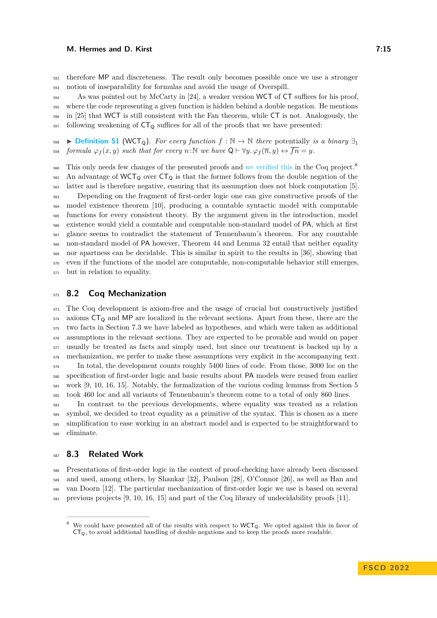#### **M. Hermes and D. Kirst 7:15 10. In the set of the set of the set of the set of the set of the set of the set of the set of the set of the set of the set of the set of the set of the set of the set of the set of the set**

 therefore MP and discreteness. The result only becomes possible once we use a stronger notion of inseparability for formulas and avoid the usage of Overspill.

 As was pointed out by McCarty in [\[24\]](#page-17-7), a weaker version WCT of CT suffices for his proof, where the code representing a given function is hidden behind a double negation. He mentions in [\[25\]](#page-17-15) that WCT is still consistent with the Fan theorem, while CT is not. Analogously, the following weakening of  $CT<sub>Q</sub>$  suffices for all of the proofs that we have presented:

558 **[Definition 51](https://www.ps.uni-saarland.de/extras/tennenbaum/Tennenbaum_paper/Tennenbaum.Church.html#WCT_Q)** (WCT<sub>Q</sub>). For every function  $f : \mathbb{N} \to \mathbb{N}$  there potentially *is a binary*  $\exists_1$ 559 *formula*  $\varphi_f(x, y)$  *such that for every*  $n : \mathbb{N}$  *we have*  $Q \vdash \forall y \ldotp \varphi_f(\overline{n}, y) \leftrightarrow \overline{fn} = y$ *.* 

This only needs few changes of the presented proofs and [we verified this](https://www.ps.uni-saarland.de/extras/tennenbaum/Tennenbaum_paper/Tennenbaum.WCT_Variants.html) in the Coq project.<sup>[8](#page-14-0)</sup>  $\frac{561}{100}$  An advantage of WCT<sub>Q</sub> over CT<sub>Q</sub> is that the former follows from the double negation of the latter and is therefore negative, ensuring that its assumption does not block computation [\[5\]](#page-16-10).

 Depending on the fragment of first-order logic one can give constructive proofs of the model existence theorem [\[10\]](#page-16-8), producing a countable syntactic model with computable functions for every consistent theory. By the argument given in the introduction, model existence would yield a countable and computable non-standard model of PA, which at first glance seems to contradict the statement of Tennenbaum's theorem. For any countable non-standard model of PA however, Theorem [44](#page-12-4) and Lemma [32](#page-10-2) entail that neither equality nor apartness can be decidable. This is similar in spirit to the results in [\[36\]](#page-17-16), showing that even if the functions of the model are computable, non-computable behavior still emerges, but in relation to equality.

#### **8.2 Coq Mechanization**

 The Coq development is axiom-free and the usage of crucial but constructively justified axioms  $CT<sub>Q</sub>$  and MP are localized in the relevant sections. Apart from these, there are the two facts in Section [7.3](#page-12-0) we have labeled as hypotheses, and which were taken as additional assumptions in the relevant sections. They are expected to be provable and would on paper usually be treated as facts and simply used, but since our treatment is backed up by a mechanization, we prefer to make these assumptions very explicit in the accompanying text. In total, the development counts roughly 5400 lines of code. From those, 3000 loc on the specification of first-order logic and basic results about PA models were reused from earlier work [\[9,](#page-16-7) [10,](#page-16-8) [16,](#page-16-11) [15\]](#page-16-4). Notably, the formalization of the various coding lemmas from Section [5](#page-7-0) took 460 loc and all variants of Tennenbaum's theorem come to a total of only 860 lines.

 In contrast to the previous developments, where equality was treated as a relation symbol, we decided to treat equality as a primitive of the syntax. This is chosen as a mere simplification to ease working in an abstract model and is expected to be straightforward to eliminate.

## **8.3 Related Work**

 Presentations of first-order logic in the context of proof-checking have already been discussed and used, among others, by Shankar [\[32\]](#page-17-17), Paulson [\[28\]](#page-17-18), O'Connor [\[26\]](#page-17-12), as well as Han and van Doorn [\[12\]](#page-16-12). The particular mechanization of first-order logic we use is based on several  $_{591}$  previous projects [\[9,](#page-16-7) [10,](#page-16-8) [16,](#page-16-11) [15\]](#page-16-4) and part of the Coq library of undecidability proofs [\[11\]](#page-16-13).

<span id="page-14-0"></span>We could have presented all of the results with respect to WCT<sub>0</sub>. We opted against this in favor of  $CT_Q$ , to avoid additional handling of double negations and to keep the proofs more readable.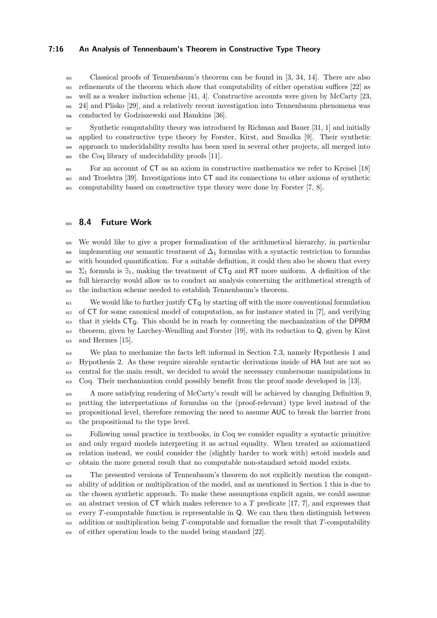#### **7:16 An Analysis of Tennenbaum's Theorem in Constructive Type Theory**

 Classical proofs of Tennenbaum's theorem can be found in [\[3,](#page-16-0) [34,](#page-17-1) [14\]](#page-16-1). There are also <sub>593</sub> refinements of the theorem which show that computability of either operation suffices [\[22\]](#page-17-19) as  $_{594}$  well as a weaker induction scheme [\[41,](#page-17-20) [4\]](#page-16-14). Constructive accounts were given by McCarty [\[23,](#page-17-6) [24\]](#page-17-7) and Plisko [\[29\]](#page-17-21), and a relatively recent investigation into Tennenbaum phenomena was conducted by Godziszewski and Hamkins [\[36\]](#page-17-16).

 Synthetic computability theory was introduced by Richman and Bauer [\[31,](#page-17-2) [1\]](#page-16-2) and initially applied to constructive type theory by Forster, Kirst, and Smolka [\[9\]](#page-16-7). Their synthetic approach to undecidability results has been used in several other projects, all merged into the Coq library of undecidability proofs [\[11\]](#page-16-13).

 For an account of CT as an axiom in constructive mathematics we refer to Kreisel [\[18\]](#page-17-3) and Troelstra [\[39\]](#page-17-22). Investigations into CT and its connections to other axioms of synthetic computability based on constructive type theory were done by Forster [\[7,](#page-16-3) [8\]](#page-16-9).

#### **8.4 Future Work**

 We would like to give a proper formalization of the arithmetical hierarchy, in particular 606 implementing our semantic treatment of  $\Delta_1$  formulas with a syntactic restriction to formulas with bounded quantification. For a suitable definition, it could then also be shown that every <sup>608</sup>  $\Sigma_1$  formula is  $\exists_1$ , making the treatment of  $CT_Q$  and RT more uniform. A definition of the full hierarchy would allow us to conduct an analysis concerning the arithmetical strength of the induction scheme needed to establish Tennenbaum's theorem.

 $\frac{611}{100}$  We would like to further justify  $CT_0$  by starting off with the more conventional formulation of CT for some canonical model of computation, as for instance stated in [\[7\]](#page-16-3), and verifying that it yields  $CT_0$ . This should be in reach by connecting the mechanization of the DPRM theorem, given by Larchey-Wendling and Forster [\[19\]](#page-17-23), with its reduction to Q, given by Kirst and Hermes [\[15\]](#page-16-4).

 We plan to mechanize the facts left informal in Section [7.3,](#page-12-0) namely Hypothesis [1](#page-12-1) and <sup>617</sup> Hypothesis [2.](#page-12-2) As these require sizeable syntactic derivations inside of HA but are not so central for the main result, we decided to avoid the necessary cumbersome manipulations in <sup>619</sup> Coq. Their mechanization could possibly benefit from the proof mode developed in [\[13\]](#page-16-15).

 A more satisfying rendering of McCarty's result will be achieved by changing Definition [9,](#page-4-1) putting the interpretations of formulas on the (proof-relevant) type level instead of the propositional level, therefore removing the need to assume AUC to break the barrier from the propositional to the type level.

 Following usual practice in textbooks, in Coq we consider equality a syntactic primitive and only regard models interpreting it as actual equality. When treated as axiomatized relation instead, we could consider the (slightly harder to work with) setoid models and obtain the more general result that no computable non-standard setoid model exists.

 The presented versions of Tennenbaum's theorem do not explicitly mention the comput- ability of addition or multiplication of the model, and as mentioned in Section [1](#page-0-0) this is due to the chosen synthetic approach. To make these assumptions explicit again, we could assume an abstract version of CT which makes reference to a *T* predicate [\[17,](#page-16-16) [7\]](#page-16-3), and expresses that  $\frac{632}{100}$  every *T*-computable function is representable in Q. We can then then distinguish between addition or multiplication being *T*-computable and formalize the result that *T*-computability of either operation leads to the model being standard [\[22\]](#page-17-19).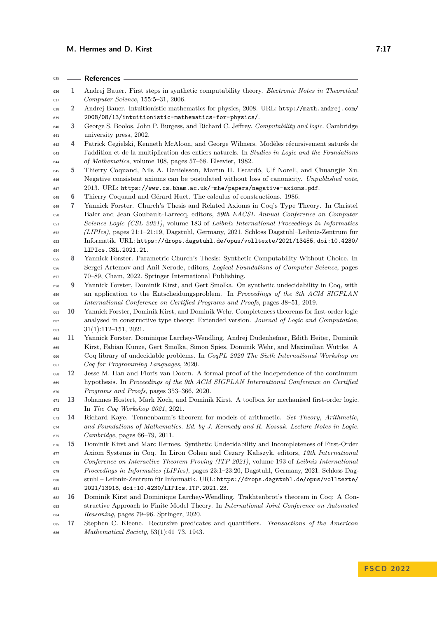## **M. Hermes and D. Kirst 7:17**

<span id="page-16-16"></span><span id="page-16-15"></span><span id="page-16-14"></span><span id="page-16-13"></span><span id="page-16-12"></span><span id="page-16-11"></span><span id="page-16-10"></span><span id="page-16-9"></span><span id="page-16-8"></span><span id="page-16-7"></span><span id="page-16-6"></span><span id="page-16-5"></span><span id="page-16-4"></span><span id="page-16-3"></span><span id="page-16-2"></span><span id="page-16-1"></span><span id="page-16-0"></span>

| 635        |    | References -                                                                                                                                                                     |
|------------|----|----------------------------------------------------------------------------------------------------------------------------------------------------------------------------------|
| 636        | 1  | Andrej Bauer. First steps in synthetic computability theory. Electronic Notes in Theoretical                                                                                     |
| 637        |    | Computer Science, 155:5-31, 2006.                                                                                                                                                |
| 638        | 2  | Andrej Bauer. Intuitionistic mathematics for physics, 2008. URL: http://math.andrej.com/                                                                                         |
| 639        |    | 2008/08/13/intuitionistic-mathematics-for-physics/.                                                                                                                              |
| 640        | 3  | George S. Boolos, John P. Burgess, and Richard C. Jeffrey. Computability and logic. Cambridge                                                                                    |
| 641        |    | university press, 2002.                                                                                                                                                          |
| 642        | 4  | Patrick Cegielski, Kenneth McAloon, and George Wilmers. Modèles récursivement saturés de                                                                                         |
| 643        |    | l'addition et de la multiplication des entiers naturels. In Studies in Logic and the Foundations                                                                                 |
| 644        |    | of Mathematics, volume 108, pages 57–68. Elsevier, 1982.                                                                                                                         |
| 645        | 5  | Thierry Coquand, Nils A. Danielsson, Martin H. Escardó, Ulf Norell, and Chuangjie Xu.                                                                                            |
| 646        |    | Negative consistent axioms can be postulated without loss of canonicity. Unpublished note,                                                                                       |
| 647        |    | 2013. URL: https://www.cs.bham.ac.uk/~mhe/papers/negative-axioms.pdf.                                                                                                            |
| 648        | 6  | Thierry Coquand and Gérard Huet. The calculus of constructions. 1986.                                                                                                            |
| 649        | 7  | Yannick Forster. Church's Thesis and Related Axioms in Coq's Type Theory. In Christel                                                                                            |
| 650        |    | Baier and Jean Goubault-Larrecq, editors, 29th EACSL Annual Conference on Computer                                                                                               |
| 651        |    | Science Logic (CSL 2021), volume 183 of Leibniz International Proceedings in Informatics                                                                                         |
| 652        |    | (LIPIcs), pages 21:1-21:19, Dagstuhl, Germany, 2021. Schloss Dagstuhl-Leibniz-Zentrum für                                                                                        |
| 653        |    | Informatik. URL: https://drops.dagstuhl.de/opus/volltexte/2021/13455, doi:10.4230/                                                                                               |
| 654        |    | LIPIcs.CSL.2021.21.                                                                                                                                                              |
| 655        | 8  | Yannick Forster. Parametric Church's Thesis: Synthetic Computability Without Choice. In                                                                                          |
| 656        |    | Sergei Artemov and Anil Nerode, editors, Logical Foundations of Computer Science, pages                                                                                          |
| 657        |    | 70-89, Cham, 2022. Springer International Publishing.                                                                                                                            |
| 658        | 9  | Yannick Forster, Dominik Kirst, and Gert Smolka. On synthetic undecidability in Coq, with                                                                                        |
| 659        |    | an application to the Entscheidungsproblem. In Proceedings of the 8th ACM SIGPLAN                                                                                                |
| 660        |    | International Conference on Certified Programs and Proofs, pages 38–51, 2019.                                                                                                    |
| 661        | 10 | Yannick Forster, Dominik Kirst, and Dominik Wehr. Completeness theorems for first-order logic                                                                                    |
| 662        |    | analysed in constructive type theory: Extended version. Journal of Logic and Computation,                                                                                        |
| 663        |    | $31(1):112-151, 2021.$                                                                                                                                                           |
| 664        | 11 | Yannick Forster, Dominique Larchey-Wendling, Andrej Dudenhefner, Edith Heiter, Dominik                                                                                           |
| 665        |    | Kirst, Fabian Kunze, Gert Smolka, Simon Spies, Dominik Wehr, and Maximilian Wuttke. A                                                                                            |
| 666        |    | Coq library of undecidable problems. In CoqPL 2020 The Sixth International Workshop on                                                                                           |
| 667        |    | Coq for Programming Languages, 2020.                                                                                                                                             |
| 668        | 12 | Jesse M. Han and Floris van Doorn. A formal proof of the independence of the continuum                                                                                           |
| 669        |    | hypothesis. In Proceedings of the 9th ACM SIGPLAN International Conference on Certified                                                                                          |
| 670        |    | <i>Programs and Proofs</i> , pages 353–366, 2020.                                                                                                                                |
| 671        | 13 | Johannes Hostert, Mark Koch, and Dominik Kirst. A toolbox for mechanised first-order logic.                                                                                      |
| 672        |    | In The Coq Workshop $2021$ , 2021.                                                                                                                                               |
| 673        | 14 | Richard Kaye. Tennenbaum's theorem for models of arithmetic. Set Theory, Arithmetic,                                                                                             |
|            |    | and Foundations of Mathematics. Ed. by J. Kennedy and R. Kossak. Lecture Notes in Logic.                                                                                         |
| 674<br>675 |    | <i>Cambridge</i> , pages $66-79$ , 2011.                                                                                                                                         |
|            | 15 | Dominik Kirst and Marc Hermes. Synthetic Undecidability and Incompleteness of First-Order                                                                                        |
| 676        |    | Axiom Systems in Coq. In Liron Cohen and Cezary Kaliszyk, editors, 12th International                                                                                            |
| 677        |    | Conference on Interactive Theorem Proving (ITP 2021), volume 193 of Leibniz International                                                                                        |
| 678        |    | Proceedings in Informatics (LIPIcs), pages 23:1-23:20, Dagstuhl, Germany, 2021. Schloss Dag-                                                                                     |
| 679        |    | stuhl - Leibniz-Zentrum für Informatik. URL: https://drops.dagstuhl.de/opus/volltexte/                                                                                           |
| 680        |    | 2021/13918, doi:10.4230/LIPIcs.ITP.2021.23.                                                                                                                                      |
| 681        |    |                                                                                                                                                                                  |
| 682        | 16 | Dominik Kirst and Dominique Larchey-Wendling. Trakhtenbrot's theorem in Coq: A Con-<br>structive Approach to Finite Model Theory. In International Joint Conference on Automated |
| 683        |    | <i>Reasoning</i> , pages 79–96. Springer, 2020.                                                                                                                                  |
| 684        | 17 | Stephen C. Kleene. Recursive predicates and quantifiers. Transactions of the American                                                                                            |
| 685        |    | Mathematical Society, $53(1):41-73$ , 1943.                                                                                                                                      |
| 686        |    |                                                                                                                                                                                  |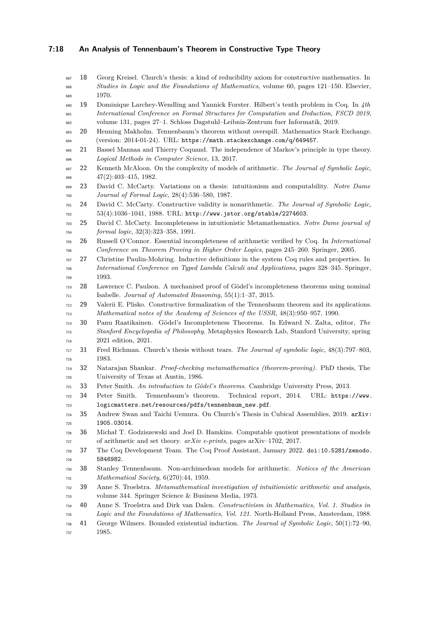#### **7:18 An Analysis of Tennenbaum's Theorem in Constructive Type Theory**

- <span id="page-17-3"></span> **18** Georg Kreisel. Church's thesis: a kind of reducibility axiom for constructive mathematics. In *Studies in Logic and the Foundations of Mathematics*, volume 60, pages 121–150. Elsevier, 1970.
- <span id="page-17-23"></span> **19** Dominique Larchey-Wendling and Yannick Forster. Hilbert's tenth problem in Coq. In *4th International Conference on Formal Structures for Computation and Deduction, FSCD 2019*, volume 131, pages 27–1. Schloss Dagstuhl–Leibniz-Zentrum fuer Informatik, 2019.
- <span id="page-17-14"></span> **20** Henning Makholm. Tennenbaum's theorem without overspill. Mathematics Stack Exchange. (version: 2014-01-24). URL: <https://math.stackexchange.com/q/649457>.
- <span id="page-17-5"></span> **21** Bassel Mannaa and Thierry Coquand. The independence of Markov's principle in type theory. *Logical Methods in Computer Science*, 13, 2017.
- <span id="page-17-19"></span> **22** Kenneth McAloon. On the complexity of models of arithmetic. *The Journal of Symbolic Logic*, 47(2):403–415, 1982.
- <span id="page-17-6"></span> **23** David C. McCarty. Variations on a thesis: intuitionism and computability. *Notre Dame Journal of Formal Logic*, 28(4):536–580, 1987.

<span id="page-17-7"></span> **24** David C. McCarty. Constructive validity is nonarithmetic. *The Journal of Symbolic Logic*, 53(4):1036–1041, 1988. URL: <http://www.jstor.org/stable/2274603>.

- <span id="page-17-15"></span> **25** David C. McCarty. Incompleteness in intuitionistic Metamathematics. *Notre Dame journal of formal logic*, 32(3):323–358, 1991.
- <span id="page-17-12"></span> **26** Russell O'Connor. Essential incompleteness of arithmetic verified by Coq. In *International Conference on Theorem Proving in Higher Order Logics*, pages 245–260. Springer, 2005.
- <span id="page-17-8"></span> **27** Christine Paulin-Mohring. Inductive definitions in the system Coq rules and properties. In *International Conference on Typed Lambda Calculi and Applications*, pages 328–345. Springer, 1993.
- <span id="page-17-18"></span> **28** Lawrence C. Paulson. A mechanised proof of Gödel's incompleteness theorems using nominal Isabelle. *Journal of Automated Reasoning*, 55(1):1–37, 2015.
- <span id="page-17-21"></span> **29** Valerii E. Plisko. Constructive formalization of the Tennenbaum theorem and its applications. *Mathematical notes of the Academy of Sciences of the USSR*, 48(3):950–957, 1990.
- <span id="page-17-13"></span> **30** Panu Raatikainen. Gödel's Incompleteness Theorems. In Edward N. Zalta, editor, *The Stanford Encyclopedia of Philosophy*. Metaphysics Research Lab, Stanford University, spring 2021 edition, 2021.
- <span id="page-17-2"></span> **31** Fred Richman. Church's thesis without tears. *The Journal of symbolic logic*, 48(3):797–803, 1983.
- <span id="page-17-17"></span> **32** Natarajan Shankar. *Proof-checking metamathematics (theorem-proving)*. PhD thesis, The University of Texas at Austin, 1986.
- <span id="page-17-11"></span>**33** Peter Smith. *An introduction to Gödel's theorems*. Cambridge University Press, 2013.
- <span id="page-17-1"></span> **[3](https://www.logicmatters.net/resources/pdfs/tennenbaum_new.pdf)4** Peter Smith. Tennenbaum's theorem. Technical report, 2014. URL: [https://www.](https://www.logicmatters.net/resources/pdfs/tennenbaum_new.pdf) [logicmatters.net/resources/pdfs/tennenbaum\\_new.pdf](https://www.logicmatters.net/resources/pdfs/tennenbaum_new.pdf).
- <span id="page-17-10"></span> **[3](http://arxiv.org/abs/1905.03014)5** Andrew Swan and Taichi Uemura. On Church's Thesis in Cubical Assemblies, 2019. [arXiv:](http://arxiv.org/abs/1905.03014) [1905.03014](http://arxiv.org/abs/1905.03014).
- <span id="page-17-16"></span> **36** Michał T. Godziszewski and Joel D. Hamkins. Computable quotient presentations of models of arithmetic and set theory. *arXiv e-prints*, pages arXiv–1702, 2017.
- <span id="page-17-9"></span> **[3](https://doi.org/10.5281/zenodo.5846982)7** The Coq Development Team. The Coq Proof Assistant, January 2022. [doi:10.5281/zenodo.](https://doi.org/10.5281/zenodo.5846982) [5846982](https://doi.org/10.5281/zenodo.5846982).
- <span id="page-17-0"></span> **38** Stanley Tennenbaum. Non-archimedean models for arithmetic. *Notices of the American Mathematical Society*, 6(270):44, 1959.
- <span id="page-17-22"></span> **39** Anne S. Troelstra. *Metamathematical investigation of intuitionistic arithmetic and analysis*, volume 344. Springer Science & Business Media, 1973.
- <span id="page-17-4"></span> **40** Anne S. Troelstra and Dirk van Dalen. *Constructivism in Mathematics, Vol. 1. Studies in Logic and the Foundations of Mathematics, Vol. 121*. North-Holland Press, Amsterdam, 1988.
- <span id="page-17-20"></span> **41** George Wilmers. Bounded existential induction. *The Journal of Symbolic Logic*, 50(1):72–90, 1985.